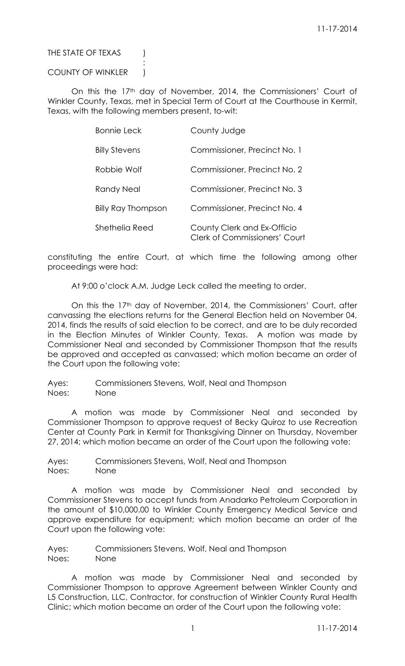## THE STATE OF TEXAS (

## COUNTY OF WINKLER )

:

On this the 17<sup>th</sup> day of November, 2014, the Commissioners' Court of Winkler County, Texas, met in Special Term of Court at the Courthouse in Kermit, Texas, with the following members present, to-wit:

| <b>Bonnie Leck</b>        | County Judge                                                        |
|---------------------------|---------------------------------------------------------------------|
| <b>Billy Stevens</b>      | Commissioner, Precinct No. 1                                        |
| Robbie Wolf               | Commissioner, Precinct No. 2                                        |
| Randy Neal                | Commissioner, Precinct No. 3                                        |
| <b>Billy Ray Thompson</b> | Commissioner, Precinct No. 4                                        |
| Shethelia Reed            | County Clerk and Ex-Officio<br><b>Clerk of Commissioners' Court</b> |

constituting the entire Court, at which time the following among other proceedings were had:

At 9:00 o'clock A.M. Judge Leck called the meeting to order.

On this the 17<sup>th</sup> day of November, 2014, the Commissioners' Court, after canvassing the elections returns for the General Election held on November 04, 2014, finds the results of said election to be correct, and are to be duly recorded in the Election Minutes of Winkler County, Texas. A motion was made by Commissioner Neal and seconded by Commissioner Thompson that the results be approved and accepted as canvassed; which motion became an order of the Court upon the following vote:

Ayes: Commissioners Stevens, Wolf, Neal and Thompson Noes: None

A motion was made by Commissioner Neal and seconded by Commissioner Thompson to approve request of Becky Quiroz to use Recreation Center at County Park in Kermit for Thanksgiving Dinner on Thursday, November 27, 2014; which motion became an order of the Court upon the following vote:

Ayes: Commissioners Stevens, Wolf, Neal and Thompson Noes: None

A motion was made by Commissioner Neal and seconded by Commissioner Stevens to accept funds from Anadarko Petroleum Corporation in the amount of \$10,000.00 to Winkler County Emergency Medical Service and approve expenditure for equipment; which motion became an order of the Court upon the following vote:

Ayes: Commissioners Stevens, Wolf, Neal and Thompson Noes: None

A motion was made by Commissioner Neal and seconded by Commissioner Thompson to approve Agreement between Winkler County and L5 Construction, LLC, Contractor, for construction of Winkler County Rural Health Clinic; which motion became an order of the Court upon the following vote: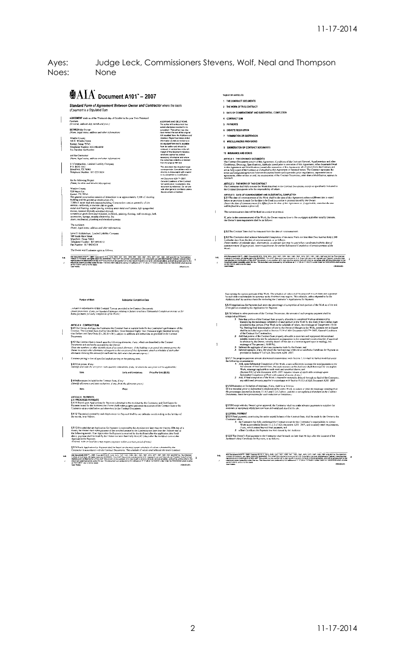# Ayes: Judge Leck, Commissioners Stevens, Wolf, Neal and Thompson Noes: None

### $\bigcirc \mathbb{A}$   $\prod$  Document A101" - 2007 TARLE OF ARTICLES 1 THE CONTRACT DOCUMENTS Standard Form of Agreement Between Owner and Contractor where the basis<br>of payment is a Stipulated Sum 2 THE WORK OF THIS CONTRACT 3 DATE OF COMMENCEMENT AND SUBSTANTIAL COMPLETION AGREEMENT made as of the Thirteenth day of October in the year Two Thousand<br>Fourteen<br>(lo words, indicate day, month and year.) 4 CONTRACT SUM ADDITIONS AND DELETIONS.<br>The author of this discument has 5 PAYMENTS The author of this decompany has a<br>stocha decompany metric of the rest of the such that correlates the base of<br>the correlation of the such of the criginal of the state of the<br>AAR standard form, An Additional as well as re **BETWEEN the Owner:**<br>(Nome, legal status, address and other information) 6 DISPUTE RESOLUTION 7 TERMINATION OR SUSPENSION Winkler County<br>100 E. Winkler Street<br>Kermit, Texas 79745<br>Telephone Number: 432-586-6658<br>Fax Number: faxNumber 8 MISCELLANEOUS PROVISIONS the stateament form text is available.<br>In the author and should be<br>reviewed. A vertical line on the left<br>reviewed. A vertical line on the left<br>where the author has added to an detect<br>the author has added to an detect<br>from 9 ENUMERATION OF CONTRACT DOCUMENTS 10 INSURANCE AND BONDS and the Contractor:<br>(Name, legal status, address and other information) ARTICLE 1 THE CONTRACT DOCUMENTS<br>The communication of the Contract (General, Nupplementary and educations). The Contract Documentary and educations<br>Conditions). Drawings, Specifications, Addenda issued prior to execution LE Construction, Limited Lublity Company<br>P.O. BOX 1012<br>Mustfield, TX 76063<br>Telephone Number: 817-233-5034 agreements for the following Project:<br>(Name, location and detailed description) ARTICLE 2 THE WORK OF THIS CONTRACT<br>The Contractor shall fully execute the Work described in the Contreat Documents, except as ap<br>the Contract Documents to be the responsibility of others. winder County<br>828 Meyer Ln.<br>Kernit, TX 79745 ARTICLE 3 DATE OF CONNENCEMENT AND SUBSTANTIAL COMPLETION<br>§3.1 The date of commencement of the Work shall be the date of dia Agreement unless a different due is stated<br>below or provision is made for the date to be fixed in Kemin-TV, 79745<br>
2000 - The metal construction consists of demolition to an approximately 3,500 s.f. exacting<br>
The general construction consists of demolition to an approximately 3,500 s.f. exacting<br>
holding and the groun ent data will be fixed in a notice to proceed.  $\mathbf{I}$ The commencement data will be taken in a notice to proced.<br>If, prior to the commencement of the Work, the Owave requires time to file mortgages and other society interests,<br>the Owner's time requirement shall be as follows The Architect:<br>(Name, legal status, address and other information) Name, leged status, address and other reformation<br>Level 5 Architecture, Limited Lisbility Company<br>108 South Mini Street<br>Maxifield, Texas 76063<br>Telephone Number: 817-842-0212<br>Telephone Number: 817-842-0214<br>Fax Number: 817-8 § 3.2 The Contract Time shall be measured from the date of commencement. **§ 34 rm.** Contract a measure to measure 3 to construct the construction.<br>**§ 33 The Connective deal technic Substantial Completion** of the entire Work not later than Two bundeted long (240<br>} chandle days from the date of  $\overline{\phantom{a}}$ The Owner and Contractor agree as follows. 20. Decembre 1941 – 2007, decembre 1945, una company des provinciais de la company de la provincia de la compa<br>Proposition d'Archive de la companya de la companya de la companya de la companya de la companya de la compan<br>C - Japa Copyright (1915, 1916, 1926, 1927, 1911, 1948, 1945, 1947, 1947, 1977, 1987, 1981, 1990 and 2021 by The American<br>Middlete mekrydi WARRHING: The AMP Discursed is protected by U.S. Copyright Law and International Thus Sum among the various portions of the Work. The schedule of values shall be prepared in such form and supporti<br>By such data to substanciate its accuracy as the Architect may require. This schedule, unless objected to by th Portion of Work<br>
Substantial Completion Date § \$.1.5 Applications for Payment shall show the percentage of completion of each portion of the Work as of the end<br>of the period covered by the Application for Payment , subject to adjustments of this Contast Ture as provided in the Contrast Documents<br>tinsert providions, ef one, for liquidant dumages relating to fasiere to achieve Substantial Completion on time or for<br>bonas payments for of the protoic covered by the Application for Payment<br>
of the protoic coverage of the Contrast Decomposition of the Contrast Decomposition of the Contrast South<br>
1. Take that protoic state of the Contrast Decomposition of ARTICLE 4 CONTRACT SUN<br>§41 The Universality are decreased the Contract Sum in current funds for the Contractor's performance of the<br>Contract. The Contract Sum shall be One Million (Tance Hundee) Eighty Two Thousand Eight H  $\overline{1}$  $\perp$ ermanicano<br>Documents stad se bre chy seconde by the Gollowing alternates, if any which are described in the Constant Sham<br>Documents and street by recorded by the Owner.<br>Owner to accept solver alternative subsequent to the accepted by the Owner<br>I identification of accepted alternates. If the budding or proposal decision<br>intakis, subsequent to the execution of this Agreement, uttach a schedule of such ather<br>suist for each and the date when th provided in Section 19.1 of AIA Uncometer AZD 12007.<br> **S5.17** The cooperas payment amount determined in accordance with Section 5.1.6 whall be further modified under<br>
the following section and determined in accordance wit .<br>Concrete paving in lieu of specified asphalt paving on the parking areas.  $\frac{1}{2}$  4.3 Unit prices, if any:<br>Identify and state the unit price: sure quantity institutions, if any: to which the unit price will be upplicable.)<br>Internal Units and Limitations Price Per Unit (\$0.00) Item § 4.4 Allowances included in the Contract Sum, if any:<br>(Identify allowance and state exclusions, if any, from the allowance price.) § \$1.8 Reduction or limitation of retainings, if any, shall be as follows:<br>If it is intended, prior to Substantial Completion of the entire Work, to seduce or limit the retationge resulting from<br>the percentages inserted i zen Price ARTICLE S. PAYMENTS<br>§ 5.1 MOGRESS PAYMENTS<br>Payment saved by the Architections for Payment submitted to the Architect by the Contractur and Centificates for<br>Payment saved by the Architect. the Owner thalf radio progress pay § 6.1.9 Except with the Owner's prior approval, the Contractor shall not make advance payments to suppliers for<br>materials or equipment which have not heen delivered and stored at the site. Counsider as provided below and elsewhere in the Compact Documents.<br>§ \$1.2 The period covered by each Application for Payment shall be one callendar month ending on the last day of<br>the manth, or as follows, § 5.2 FIRAL PAYMENT<br>§ 5.2.1 Final payment, constituting the entire unpsid balance of the Contract Stun, shall be made by the Owner to the stor when<br>
A due Contraction has fully performed the Uniterate except for the Uniterator's responsibility to correct<br>
Work as provided in Section 12.2 of ALA Decument A201 2007, and to satisfy other requirements,<br>
if any, § \$1.3 Provided that an Application for Payment is received by the Architect not later than the Twenty-fifth day of a problem of the contribution of the contribution of the contribution of the contribution of the contribu § \$2.2 The Owner's final payment to the Contractor shall be made no later than 30 days after the issuance of the<br>Architect's final Centificate for Payment, or as follows: § \$1.4 Each Application for Psyment shall he based on the most recent schedule of values submitted by the<br>Contractor in accordance with the Contract Documents. The schedule of values shall allocate the entire Con g and make approximate in Figure Contract December 1. The scheduler of values and all silectic the entity of the contract<br>Computer in accordance with the Contract December 1. The schedule of values shall allocate the enti MA Docemes AST - 2001, Camry C 1915, 1916, 1925, 1937, 1938, 1997, 1997, 1997, 1997, 1997, 1997, 1997, 1997, 1997, 1997, 1997, 1997, 1997, 1997, 1997, 1997, 1997, 1997, 1997, 1997, 1997, 1997, 1997, 1997, 1997, 1997, 1997,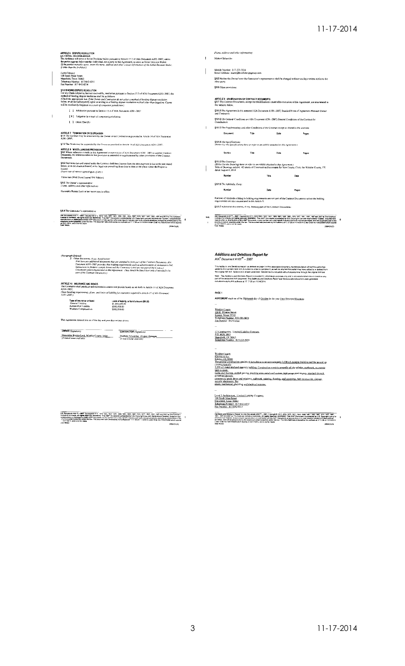### (Name, caldress and other information) ARTICLE 5 OISPUTE RESOLUTION<br>5 et metrici, DECISION MARER<br>The Architect will serve at Iraini Decision Maker pursuant to Secure 15.2 of AIA Document A201-2007, uniess<br>the parties appent technology and the individual, and a  $\mathbf{I}$ Mattew Schneider Mobile Number: 817-233-5034<br>Ernail Address: matts@level5designgroup.orcn Justin Gilmore<br>108 South Main Street<br>Mansfield, Texas 76063<br>Telephone Number: 817-842-0212<br>Fax Number: 817-842-0214 Entimity of the Owner's principles only the second state of the principle of the state of the State of the Owner's part the Contractor's representative shall be changed without ten days written notice to the other state. §8.6 Other provisions: PIX POINTIPS: 2 | 1934-2013<br>
SA EN DIVIDAD DE PITE RESOLUTION<br>
PIX POINTIPS: 2018 INSTANT DE COLUTION<br>
PIX POINT INSTANT DE COLUTION IN A RESOLUTION<br>
CONTRE the appropriate base, finding the Content of the Content of the S ARTICLE 9 ENUMERATION OF CONTRACT DOCUMENTS<br>§ 9.1 The Contract Pocuments, except for Modifications issued after execution of this Agreement, are enumerated in [ ] Advitation pursuant to Section 15.4 of ATA Document A201-2007 § 9.1.1 The Agreement is this executed AIA Document A101-2007, Standard Frim of Agreement Between Owner<br>and Contractor.  $[X]$  Litigation in a court of competent particletion § 9.1.2 The General Conditions are AIA Document A201-2007, General Conditions of the Contract for<br>Construction  $\mathsf{I}$  =  $\mathsf{I}$  = Other (Specify)  $\mathbf{L}$ § 9.1.3 The Sopplementary and other Conditions of the Contract except as altered in the contract ARTICLE 7 - TERMINATION OR SUSPENSION<br>§7.1 The Context may be terminated by the Owner or the Contractor as provided in Article 14 of ATA Document.<br>A201–2007 Document Title Date **Pages** § 9.1.4 The Specifications:<br>(Enker las the Specifications here or refer to an exhibit anached to this Agreement.)  $$7.2$  The Work may be suspended by the Owner as provided in Aniele 14 of ALA Document A201-2007. **ARTICLE 3** MISCELLANEO was solvention as province at Artist in et a ALA Discussion A201-2017.<br>**ARTICLE 3 MISCELLANEOUS PROVISCIAE**<br>**Discussion, the reference is mode in this Agreement** to a provision of ALA Discument A201 Section Title Date Date Pages §9.15 The Durwings:<br>(Ether hat the Durwings bere or refer to an reliable attached to this Agreement )<br>Tello of Deveniug: achievity 62 shoots of Construction Documents for New County Clinic for Witkler County, TX<br>dated Augu § 6.2 Payments due and unpit d'auder the Contract shall betwinnered from the date payment is due at the rate stated<br>below, or in the alsume thereof, at the legal rate prevailing from time to time at the place where the Pro  $\parallel$ -<br>ute of interest agreed upon, if any y **Title Number** Date Prime rate (Walt Street Journal SW Edition) §9.1.6 The Addenda, if any: § 8.3 The Owner's representative<br>¡Name, addense and other information) **Number** Date .<br>Honorable Bonnie Leek or her successors in office Pages Portinas of Addenda refating to bidding requirements are not part of the Contract Documents unless the hudding<br>requirements are also enumerated in this Article 9. § 9.1.7 Additional documents, if any, forming part of the Contract Documents: **68.4 The Contractor's repres** § 8.4 The Contractor's representative<br>AN DOLLARSHIP - 2001 Copyright (P. 1918, 1925, 1927, 1951, 1961, 1961, 1962, 1967, 1974, 1977, 1987, 1997, 199<br>However, Annual Margins making Matchies Translation profession in Science AN ORIGINAL AND - BRO CONSIDER ENT. UN LES LISTES DE TRE SIEU AND INC. DES VIOLENCES DE LA VIOLENCE ATTACAMENT<br>INGRAPHICANDE AUTORI MARINE VARIABLE. THE SIEU CONTRACT PROBLEM DE CONTRACT DE ANITOMETRIS DE VIOLENCES DE SI<br>I Facagraph Deleted)<br>2. Obel documents, if any Josefa below<br>1. Clust here any additional documents that are interded to form part of the Contract Decuments. Also<br>1. Document ARNI-200 provides that bidging requirements such a Additions and Deletions Report for<br>AlA<sup>®</sup> Document A101<sup>™</sup> – 2007 This Additions and Deteilors Negari as defined on page 1 of the associated document, reproduces below at leaf the author has<br>added to be scander tions Alk discussion of order to complete it, as well as any test the publish Nole <sup>- Th</sup>es Additions and Ocictoris Report is provided for information purposes only and is not incomparated into or constitute any<br>part of the associated AAA document, This Additions and Detelloris Report and to associa RTICLE 10 - INSURANCE AND BONDS<br>Le Converter shall preduce and maintain insurance and provide bonds as set forth in Article 11 of AIA Document<br>201-2007.<br>Bark bonding requirements, if any, and limits of Italklity for insura The Commetter shall purchase and maintain insurance and provide bands as set forth in Article 11 of ALA Docu<br>A201–2007,<br>(State banding requirements, if any, and limits of liability for usurance required in Article 11 of A PAGE 1 AGREEMENT made as of the Thirteenth day of Qctober in the year Two Thousand Fourteen Type of Insurance or bond<br>Greenal Tabijity (1900, 1900, 1900, 1900, 1900, 1900, 1900, 1900, 1900, 1900, 1900, 1900, 1900, 1900, 1900, 1<br>Automotive Tabijity (1900, 1900, 1900, 1900, 1900, 1900, 1900, 1900, 1900, 1900, 1900,

 $\bar{1}$ 

This Agreement entered into as of the day and year first written above.

 $OMM<sup>2</sup>$  (Signature)

 $\overbrace{\text{CONTRACTOR (Signature)}}$ 

e Altil<sup>ow</sup> - and Convents (1941-2011-205), 192-1981, 198-1961, 1983, 1987, 1974, 1977, 1987, 1997, 1998 of 202 by Deployment and Convents (1998), the Service of The Service of The Service of The Service of The Service of

**Homorabic Bonnie Leck, Winkler County Joseph Manuferty School Committee County School County School County School County School County School County School County School County School County School County School County Sc** 

- - -

Winkler County<br><u>100 E</u> Winkler Street<br>Kemuk, Texas 79745<br>Telephone Number: 432-586-6658<br>Fax Number: 68,Non<u>ber</u>

15 Construction, Limited Liability Company<br>P.O. HOX 1917<br>Marsfield, 1X 76063<br>Telephone Number: 817-233-5934

**Winkler County<br>Annihilation 2018**<br>Annihilation 2018<br>Annihilation 2018<br>Province 2018<br>The County of Constant Constitute (Calculation to an annonximately, 3,500 x f. existing huiding and the security<br>Annihilation 2018<br>2019 a

<sup>m</sup><br>L<u>evel 5, Architecture, Limited Li</u>phitty Company,<br><u>MR South Mans Street</u><br>Mansfelds, Tessa: 26053<br>Telephone Number, 817-842-0212<br>Fax Number, 817-842-0214

nd Dishows these file data becames a total Compatibility of the 1951 to the USI of the 1967 top 1961 to 1971 th<br>HT September Several method of Actions at Agent meants explicities that AMP Document transacted by US Copyrigh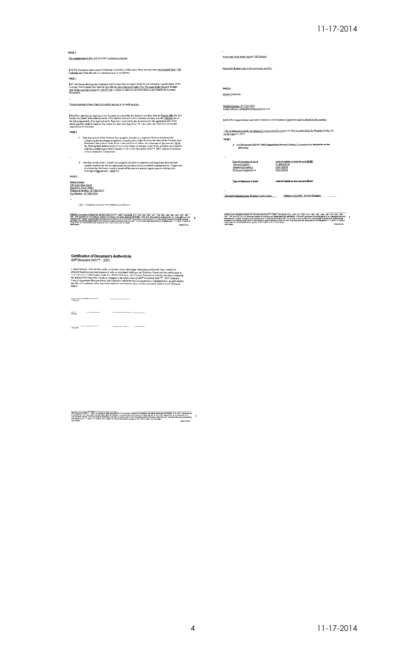## PAGE 2

The commencement date will be fixed in a notice to proceed.

§ 3.3 The Contractor shall achieve Substantial Completion of the entire Work not later than Two hundred forcy (240)<br>) salendar days from the date of commemorment, or as follows: PAGE 3

§ 4.1 The Owner shall pay the Constactor the Contract Sum in current funds for the Contractor's performance of the<br>Contract. The Contract Sum shall be One Million. Three Hundred Eighter Two Theosened Eight Hundred Seventy<br>

aving in lieu of specified asphalt paving no the parking areas.

§ 5.1.3 Provided that an Application for Payment is received by the Architect not hard than the <u>Twenty-Afth</u> day of 3<br>month, the Gowan shall be note equation of the contrict annual to the Contraction to later than the <u>T</u> PAGE 4

- Take that portion of the Contract Sum properly allocable to completed Work as determined by<br>maligiving the processing completion of each proform of the Work by the three of the Comerca Sum<br>with Panaling final disterminati
- 2 Add that portion of the Creatner Stars properly allocable to materials and nanpyment delivered and<br>suicibly stowed at the star for suitabequents incononation in the completed construction (or, if approved<br>in a Monce by

PAGE 5

Justin Giltnore<br>108 South Main Street<br>Mansfield, Texas 76662<br>Telsphone Number, 817-842-0212<br>Fax Number, 817-842-0214

 $\{\underline{X}\}$  . Litigation in a court of competent jurisdiction

TARTEN DES DÉSERT ÉVAILLE DE ROYAUME AUTOR - 2007 C-POINT DE L'AIRE DES CITES (PARTIER : 1992) DE L'AIRE DE CO<br>1991 : DE POINT DE L'AIRE DE L'AIRE DE L'AIRE DE L'AIRE DE L'AIRE DE L'AIRE DONNE DE POINT DE L'AIRE DE L'AIR<br>1

Prime rate (Wall Street Journal SW Edition)

Henorable Bonnie Leck or her successors in office

PAGE 6 Mattew Schneider

Mobile Number: 317-233-5034<br>Email Address: matts@level5design@0up-com

§ 9.1.3 The Supplementary and other Conditions of the Gontract-Contract except as altered in the contract:

Title of Drawings exhibit, 62 sheets of Construction Documputs for New County Clinic for Winkler County, EX<br>dated August 4, 2014

'<br>d-AlA-Document E201<br>following:

Type of insurance or toond<br>General Lability, the state of the state of the AMD of the AMD of the AMD of the AMD of the AMD of the AMD of<br>Alabam Change State Company (1990-000)<br>Northern Change State Company (1990-000)

Honorable Bonnie Leck, Winkler County Judge Mathew Schneider, Project Manager

Additions and Dembass Reporter Att December A1911—2007 Copyright C 1913, 1998-1922-1932-1935, 1998-1998-1998-1<br>Marristown Trades: Unselection reproduction trades between MC Documber, on an professional market and a Copyri<br>

# **Certification of Document's Authenticity**<br>AIA® Document D401™ - 2003

I. Justin Gibnere, A.D., benefic cartife, to the best of my imposible, information and belief, that i created the state of the state of the state of the state of the state of the state of the state of the state of the sta

 $\overbrace{ \textit{NignedJ} }^{'} \qquad \qquad \overbrace{ \qquad \qquad }^{'} \qquad \qquad \overbrace{ \qquad \qquad }^{'} \qquad \qquad \overbrace{ \qquad \qquad }^{'} \qquad \qquad \overbrace{ \qquad \qquad }^{'} \qquad \qquad \overbrace{ \qquad \qquad }^{'} \qquad \qquad \overbrace{ \qquad \qquad }^{'} \qquad \qquad \overbrace{ \qquad \qquad }^{'} \qquad \qquad \overbrace{ \qquad \qquad }^{'} \qquad \qquad \overbrace{ \qquad \qquad }^{'} \qquad \qquad \overbrace{ \qquad \qquad }^{'} \qquad \qquad \overbrace{ \qquad \$ 

 $\overline{rate}$  and  $\overline{rate}$  and  $\overline{rate}$  $\overline{\phantom{a}}$ 

 $\omega$  and  $\omega$  is the contract of  $\omega$  is the contract of  $\omega$  is the contract of  $\omega$  is the contract of  $\omega$  $-\cdots$ 

MA Document CAST<sup>4</sup> - 2001 Compatible District And A Document information and approximated Without The And Postmers &<br>In Annual by U.S. Compatible and information frame. Unauthouse reproduction of distribution of the Annua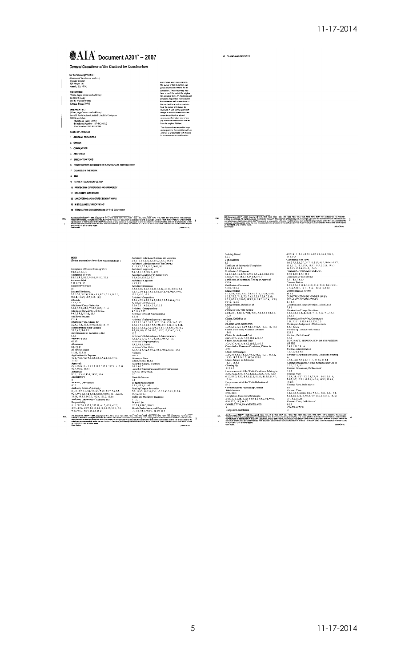# $\bigcirc \mathbb{A} I A$  Document A201" - 2007 **General Conditions of the Contract for Construction**

ma.<br>T

loit.<br>/

| for the following PROJECT:                                       |                                                                         |
|------------------------------------------------------------------|-------------------------------------------------------------------------|
| (Name and location or address)                                   |                                                                         |
| Winkler County                                                   | ADDITIONS AND DELETIONS:                                                |
| \$28 Mover Ln.                                                   | The author of this document has                                         |
| Kernit 1'X 79745                                                 | astricel information needed for its                                     |
| THE OWNER:                                                       | correletion. The author may also                                        |
| (Name, legal status and address)                                 | have revised the text of the original                                   |
| Winkler County                                                   | AIA standard form An Additions and<br>Deletions Report that notes added |
| 100 F. Winkler Street                                            | information as well as revisions to                                     |
| Kennit, Texas 79745                                              | the standard form lexi is available                                     |
|                                                                  | from the suffuor and should be                                          |
| THE ARCHITECT:                                                   | reviewed. A vortical two in the left                                    |
| (Name, legal status and address)                                 | margin of this document indicates                                       |
| Level 5 Architecture Limited Liability Company<br>108 South Main | where the author has added<br>necessary information and where           |
| Mansfield, Texas 76063                                           | the author has added to or deleted                                      |
| Telephone Number 817-842-0212                                    | from the onginal AIA text.                                              |
| Fax Number: 817-842-0214                                         | This document nas important legal                                       |
|                                                                  | consequences. Consultation with an                                      |
| <b>TABLE OF ARTICLES</b>                                         | allower is encouraged with respect                                      |
| 1 GENERAL PROVISIONS                                             | le às concietion or modification.                                       |
|                                                                  |                                                                         |
| 2 OWNER                                                          |                                                                         |
| 3 CONTRACTOR                                                     |                                                                         |
| 4 ARCHITECT                                                      |                                                                         |
| <b>SUBCONTRACTORS</b><br>s                                       |                                                                         |
| CONSTRUCTION BY OWNER OR BY SEPARATE CONTRACTORS<br>6            |                                                                         |
| <b>CHANGES IN THE WORK</b><br>т                                  |                                                                         |
| <b>8 TIME</b>                                                    |                                                                         |
| 9 PAYMENTS AND CONPLETION                                        |                                                                         |
| 10 PROTECTION OF PERSONS AND PROPERTY                            |                                                                         |
| <b>11 INSURANCE AND BONDS</b>                                    |                                                                         |
| 12 UNCOVERING AND CORRECTION OF WORK                             |                                                                         |
| 13 MISCELLANEOUS PROVISIONS                                      |                                                                         |
|                                                                  |                                                                         |
| 14 TERMINATION OR SUSPENSION OF THE CONTRACT                     |                                                                         |

AM Developed AST = 2007 Copyoff & BTN 915, 1915, 1925, 1937, 1937, 1945, 1967, 1967, 1978, 1978, 1978, 1979, 1979, 1979, 1979, 1979, 1979, 1979, 1979, 1979, 1979, 1979, 1979, 1979, 1979, 1979, 1979, 1979, 1979, 1979, 1979,

| <b>INDFX</b>                                                                             | Architect's Additional Services and Expenses                                                                                                                                                                                                                                                                                                                                                                                                                                                                                                                                                                                 |
|------------------------------------------------------------------------------------------|------------------------------------------------------------------------------------------------------------------------------------------------------------------------------------------------------------------------------------------------------------------------------------------------------------------------------------------------------------------------------------------------------------------------------------------------------------------------------------------------------------------------------------------------------------------------------------------------------------------------------|
| (Topics and numbers in bold are soction headings )                                       | 2.4, 11.3.1 1, 12.2.1, 13.5.2, 13.5.3, 14.2.4                                                                                                                                                                                                                                                                                                                                                                                                                                                                                                                                                                                |
|                                                                                          | Architect's Administration of the Contract                                                                                                                                                                                                                                                                                                                                                                                                                                                                                                                                                                                   |
| Acceptance of Nonconforming Work                                                         | 3.1.3, 4.2, 3.7.4, 15.2, 9.4.1, 9.5<br>Architect's Approvals                                                                                                                                                                                                                                                                                                                                                                                                                                                                                                                                                                 |
| 9.6.6.9.9.3.12.3                                                                         | 2.4, 3.1.3.3.5, 3.10.2, 4.2.7                                                                                                                                                                                                                                                                                                                                                                                                                                                                                                                                                                                                |
| Acceptance of Work                                                                       | Architect's Authority to Reject Work                                                                                                                                                                                                                                                                                                                                                                                                                                                                                                                                                                                         |
| 9.6.6, 9.8.2, 9.9.3, 9.10.1, 9.10.3, 12.3                                                | 3.5, 4.2.6, 12.1.2, 12.2.1                                                                                                                                                                                                                                                                                                                                                                                                                                                                                                                                                                                                   |
| Arcess to Work                                                                           | Architect's Capyright                                                                                                                                                                                                                                                                                                                                                                                                                                                                                                                                                                                                        |
| 3.16.6.2.1.12.1                                                                          | 1.1.7.1.5                                                                                                                                                                                                                                                                                                                                                                                                                                                                                                                                                                                                                    |
| Accident Prevention                                                                      | Architect's Decisions                                                                                                                                                                                                                                                                                                                                                                                                                                                                                                                                                                                                        |
| 10                                                                                       | 3.7.4, 4.2.6, 4.2.7, 4.2.11, 4.2.12, 4.2.13, 4.2.14, 6.3,                                                                                                                                                                                                                                                                                                                                                                                                                                                                                                                                                                    |
| Acts and Omissions                                                                       | 7.3.7, 7.3.9, 8.1.3, 8.3.1, 9.2, 9.4.1, 9.5, 9.8.4, 9.9.1,                                                                                                                                                                                                                                                                                                                                                                                                                                                                                                                                                                   |
| 3.2.3.3.2, 3.12.8, 3.18, 4.2.3, 8.3.1, 9.5.1, 10.2.5.                                    | 13.5.2, 15.2, 15.3                                                                                                                                                                                                                                                                                                                                                                                                                                                                                                                                                                                                           |
| 10.2.8, 13.4.2, 13.7, 14.1, 15.2<br>Addenda                                              | Architect's Insuretions                                                                                                                                                                                                                                                                                                                                                                                                                                                                                                                                                                                                      |
| 1.1.1.3.11                                                                               | 3.7.4, 4.2.2, 4.2.9, 9.4.2, 9.8.3, 9.9.2, 9.10.1, 13.5<br>Architect's Instructions                                                                                                                                                                                                                                                                                                                                                                                                                                                                                                                                           |
| Additional Costs, Claims for                                                             | 3.2.4.3.3 J, 4.2.6, 4.2.7, 13.3.2                                                                                                                                                                                                                                                                                                                                                                                                                                                                                                                                                                                            |
| 3.7.4, 3.7.5, 6.1.1, 7.3.7.5, 10.3, 15.1.4                                               | Architect's Interpretations                                                                                                                                                                                                                                                                                                                                                                                                                                                                                                                                                                                                  |
| Additional Inspections and Testine                                                       | 4.2.11.4.2.12                                                                                                                                                                                                                                                                                                                                                                                                                                                                                                                                                                                                                |
| 94.2.98.3.12.2.1.13.5                                                                    | Architect's Project Representative                                                                                                                                                                                                                                                                                                                                                                                                                                                                                                                                                                                           |
| Additional Insured                                                                       | 4.2.10                                                                                                                                                                                                                                                                                                                                                                                                                                                                                                                                                                                                                       |
| 1114                                                                                     | Architect's Relationship with Contractor                                                                                                                                                                                                                                                                                                                                                                                                                                                                                                                                                                                     |
| Additional Time, Claims for                                                              | 1.1.2, 1.5, 3.1.3, 3.2.2, 3.2.3, 3.2.4, 3.3.1, 3.4.2, 3.5,                                                                                                                                                                                                                                                                                                                                                                                                                                                                                                                                                                   |
| 3.2.4, 3.7.4, 3.7.5, 3.10.2, 8.3.2, 15.1.5<br>Administration of the Contract             | 3.7.4, 3.7.5, 3.9.2, 3.9.3, 3.10, 3.11, 3.12, 3.16, 3.18,                                                                                                                                                                                                                                                                                                                                                                                                                                                                                                                                                                    |
| 3.1.3, 4.2, 9.4, 9.5                                                                     | 4.1.2, 4.1.3, 4.2, 5.2, 6.2.2, 7, 8.3.1, 9.2, 9.3, 9.4, 9.5,<br>9.7, 9.8, 9.9, 10.2 6, 10.3, 11.3, 7, 12, 13.4.2, 13.5,                                                                                                                                                                                                                                                                                                                                                                                                                                                                                                      |
| Advertisement or Invitation to Bid                                                       | 152                                                                                                                                                                                                                                                                                                                                                                                                                                                                                                                                                                                                                          |
| 1.1.1                                                                                    | Architect's Relationship with Subcontractors                                                                                                                                                                                                                                                                                                                                                                                                                                                                                                                                                                                 |
| Aesthetic Effect                                                                         | 1.1.2, 4.2.3, 4.2.4, 4.2.6, 9.6.3, 9.6.4, 11.3.7                                                                                                                                                                                                                                                                                                                                                                                                                                                                                                                                                                             |
| 4.2.13                                                                                   | <b>Architect's Representations</b>                                                                                                                                                                                                                                                                                                                                                                                                                                                                                                                                                                                           |
| <b>Allowances</b>                                                                        | 9.4.2, 9.5.1, 9.10.1                                                                                                                                                                                                                                                                                                                                                                                                                                                                                                                                                                                                         |
| 3.8.73.8                                                                                 | Architect's Site Visits                                                                                                                                                                                                                                                                                                                                                                                                                                                                                                                                                                                                      |
| All-risk Insurance                                                                       | 3.7.4, 4.2.7, 4.2.9, 9.4.2, 9.5.1, 9.9.2, 9.10.1, 13.5                                                                                                                                                                                                                                                                                                                                                                                                                                                                                                                                                                       |
| 11.3.1, 11.3.1.1                                                                         | Asbestos<br>10.3.1                                                                                                                                                                                                                                                                                                                                                                                                                                                                                                                                                                                                           |
| <b>Applications for Payment</b><br>4 2.5, 7.3.9, 9.2, 9.3, 9.4, 9.5.1, 9.6.3, 9.7, 9.10, | Attorneys' Fees                                                                                                                                                                                                                                                                                                                                                                                                                                                                                                                                                                                                              |
| 11.1.3                                                                                   | 3.18.1.9.30.2.10.3.3                                                                                                                                                                                                                                                                                                                                                                                                                                                                                                                                                                                                         |
| Approvals                                                                                | Award of Separate Contracts                                                                                                                                                                                                                                                                                                                                                                                                                                                                                                                                                                                                  |
| 2.1.1, 2.2.2, 2.4, 3.1.3, 3.10.2, 3.12.8, 3.12.9, 3.12.10,                               | 611.612                                                                                                                                                                                                                                                                                                                                                                                                                                                                                                                                                                                                                      |
| 4.2.7, 9.3.2, 13.5.1                                                                     | Award of Subcontracts and Other Contracts for                                                                                                                                                                                                                                                                                                                                                                                                                                                                                                                                                                                |
| Arbitration                                                                              | Portions of the Work                                                                                                                                                                                                                                                                                                                                                                                                                                                                                                                                                                                                         |
| 8.3.1, 11.3.10, 13.1, 15.3.2, 15.4                                                       | 5.7                                                                                                                                                                                                                                                                                                                                                                                                                                                                                                                                                                                                                          |
| <b>ARCHITECT</b>                                                                         | Basic Definitions                                                                                                                                                                                                                                                                                                                                                                                                                                                                                                                                                                                                            |
| Architect, Definition of                                                                 | 11<br><b>Bidding Requirements</b>                                                                                                                                                                                                                                                                                                                                                                                                                                                                                                                                                                                            |
| 413                                                                                      | 1.1.1.5.2.1.11.4.1                                                                                                                                                                                                                                                                                                                                                                                                                                                                                                                                                                                                           |
| Architect, Extent of Authority                                                           | Binding Dispute Resolution                                                                                                                                                                                                                                                                                                                                                                                                                                                                                                                                                                                                   |
| 2.4, 3.12.7, 4.1, 4.2, 5.2, 6.3, 7.1.2, 7.3.7, 7.4, 9.2.                                 | 9.7, 11.3.9, 11.3.10, 13.1. 15.2.5, 15.2.6.1, 15.3.1,                                                                                                                                                                                                                                                                                                                                                                                                                                                                                                                                                                        |
| 9.3.1, 9.4, 9.5, 9.6.3, 9.8, 9.10.1, 9.10.3, 12.1, 12.2.1,                               | 15.3.2, 15.4.1                                                                                                                                                                                                                                                                                                                                                                                                                                                                                                                                                                                                               |
| 13.5.1, 13.5.2, 14.2.2, 14.2.4, 15.1.3, 15.2 1                                           | Boifer and Machinery Insurance                                                                                                                                                                                                                                                                                                                                                                                                                                                                                                                                                                                               |
| Architect, Limitations of Authority and                                                  | 113.2                                                                                                                                                                                                                                                                                                                                                                                                                                                                                                                                                                                                                        |
| Responsibility                                                                           | Bouds, Lien                                                                                                                                                                                                                                                                                                                                                                                                                                                                                                                                                                                                                  |
| 2.1.1, 3.12.4, 3.12.8, 3.12.10, 4 1.2, 4.2 1, 4.2.2,                                     | 7.3.7.4, 9.10.2, 9.10.3                                                                                                                                                                                                                                                                                                                                                                                                                                                                                                                                                                                                      |
| 4.2.3, 4.2.6, 4.2.7, 4.2.10, 4.2.12, 4.2.13, 5.2 1, 7.4,                                 | Bonds, Performance, and Payment                                                                                                                                                                                                                                                                                                                                                                                                                                                                                                                                                                                              |
| 9.4.2, 9.5.3, 9.6.4, 15.1.3, 15.2                                                        | 73.74.96.7.9.103.11.39.114                                                                                                                                                                                                                                                                                                                                                                                                                                                                                                                                                                                                   |
| on 05/11/2015, and is not for resear<br><b>User Notes:</b>                               | AM. Decument A2017 - 2007. Copyright C 1911. 1915, 1918, 1925. 1957, 1958, 1958, 1961, 1968, 1970, 1970. 1970. 1987 and 2027 by The American<br>institute of Architects. All rights reserves, WARNING: This A(A* Cocurrent is protected by U.S. Copyright Law and Interhational Triatives. Unauthorized<br>3<br>reproduction or dratribution of this AIA* Document, or any portion of it, may result in severe civic and comman penalties, and will be prosecuted to the<br>minimum extent possible ander the law. This document was protuned by AIA extense at 17:40:43 on 14/4/2014 under Order No 7053353958 which extres |
|                                                                                          | <b>INFRADATA)</b>                                                                                                                                                                                                                                                                                                                                                                                                                                                                                                                                                                                                            |

Building Percart<br>3.7.1<br>Capitalization<br>1.3 -<br>
- Configure of Sobrancial Completion<br>
2 S. 3 9.4 9.85<br>
2 S. 3 9.4 9.85<br>
2 Configures for bypares<br>
2 Configures (19.9 and 2), 9.3, 9.9, 9.9, 9.6, 9.7,<br>
2 Only, 9.10.3, 14.11.3, 14.2, 15.13<br>
13.5.1<br>
Centificates of Insura Show, 1913<br>Charge Orders<br>5.2, 3.3.2, 3.7.4, 3.8.2.3, 3.11, 3.12.8, 4.2.8,<br>5.2.3, 7.1.2, 7.1.3, 7.2, 7.3.2, 7.3.6, 7.3.9, 7.3.10,<br>6.3.1, 9.3.1.1, 9.10.3, 10.3.2, 11.3.1, 11.3.4, 11.3.9,<br>Charge Orders, Definition of<br>7.21, 32.4, 61.1, 62, 71.9, 92.3, 9.10, 4.10, 13.3, 15.1<br>52.4, 61.1, 62, 71.9, 9.35, 9.10, 4.10, 134, 14<br>Claim for Additional Cost<br>Claim for Additional Cost<br>Claim for Additional Cost<br>Claim for Additional Cost<br>Claim for Addition Commercement of the Work, Conditions Relating to<br>2.2.1, 3.2.2, 3.4.1, 3.7.1, 3.10.1, 3.12.6, 5.2.1, 5.2.3,<br>6.2.2, 8.1.2, 8.2.2, 8.3.1, 11.1, (1.3.3, 11.3.6, 11.4.1,<br>15.1.4 6.2.2.81.2, 8.2.2, 8.3.1, 11.1, 11.3, 11.3, 11.4, 11.3, 11.4, 11.4, 11.4, 11.4, 11.4, 11.4, 11.4, 11.4, 11.4, 11.4, 11.4, 11.4, 11.4, 11.4, 11.4, 12.4, 12.4, 12.4, 12.4, 12.4, 12.4, 12.4, 12.4, 12.4, 12.4, 12.4, 12.4, 12.

9<br>Completion, Substantial

15 CLAIMS AND DISPUTES

 $4.2.9, 8.1.1, 8.1.3, 8.2.3, 9.4.2, 9.8, 9.9.1, 9.10.3,$ <br> $12.2, 13.7$ 

ats for premis 2011 – 2001 (2001-010 1911), 1915, 1913, 1920, 1931, 1981, 1995, 1995, 1995, 1997, 1997, 1997, 1997, 1997, 1997, 1997, 1997, 1997, 1997, 1997, 1997, 1997, 1997, 1997, 1997, 1997, 1997, 1997, 1997, 1997, 1997

Consolidated in the means of the BY<br>15.4.4<br>SEPARATE CONTRACTORS<br>SEPARATE CONTRACTORS<br>1.1.4.6<br>Construction Change Directive. Definition of<br>7.3.1

Construction Change Directive, Definition of<br>7.3.1<br>Construction Change Directives<br>1.1.1, 3.4.2, 3.12.8, 4.2.8, 7.1.1, 7.1, 7.71.3, 7.3,<br>9.3.1.1<br>Construction Schadules, Consecration

Council Award and Evecurent, Conditions Relating<br>
3.7.1.3.10, 2.5. 0.4.111.1.4.111.2.6.11<br>
3.7.1.3.10.3.2.0.3.1.111.4.111.3.1.14.1<br>
Contract Documents, Copies Fundabel and Use of<br>
1.5.2.2.3.7.3<br>
2.1.1.4.1.1.4.2.4.1.3.2.3.1

Contract Time, Defin<br>8.1.1<br>CONTRACTOR

Inff.<br>  $\label{eq:1} I$ 

AA Decembra AM - - 2007. General C. 1911, 1914, 1918, 1921, 1921, 1931, 1941, 1948, 1958, 1978, 1978, 1987, 199<br>Frederick Commission of the Commission Commission of the Commission of the Commission and the Commission Commi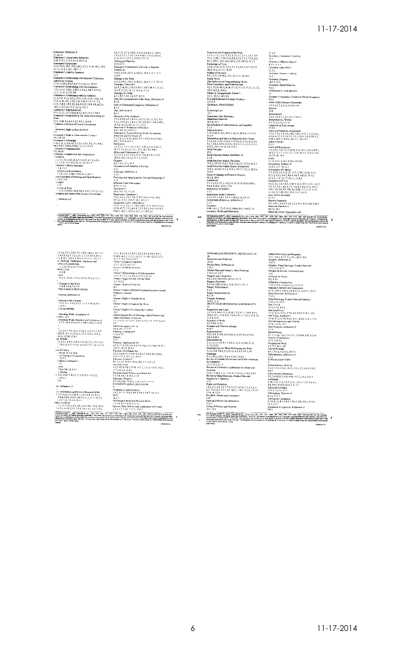Contractor, Definition of<br>3.1, 6.1.2<br>Contractor's Construction Schedules<br>3.10, 3.12.1, 3.12.2, 6.1.3, 15.1.5.2<br>Contractor's Employees 2.4, 3.2.4, 3.7.3, 3.8.2, 3.15.2, 5.4.2, 6.1.1, 6.2.3,<br>7.3.3.3, 7.3.7, 7.3.8, 7.3.9, 9.10.2, 10.3, 10.3, 6, 11.3, 12.1.2, 12.2, 1, 12.4, 12.5, 11.5, 12.1<br>Cutting and Patching<br>2.14, 6.2.5<br>Damage to Construction of Owner or Contractor's Employees<br>3.3.2.3.4.3.3.8.1.3.3.8.1.8.2.4.2.3.4.2.6.10.2.10.3.<br>11.3.1.11.3.3.4.14.1.14.2.1.1<br>Contractor's Liability Insurance **Unity very Linkility Jenerate:**<br>
(L.D.) very Linkility Jenerate:<br>
Contractor 3 Reinbonchip with Separate Contractor<br>
and Oomer 4 Process<br>  $\frac{1}{2}$  (2.2, 3 Hz, 4.2, 4.6, 11.3, 7, 12, 1.2, 12, 22,<br>  $\frac{1}{2}$  (2.2, 2.9, 4. 11.3.1.2, 11.3.7, 11.3.8<br>Contractor's Relationship with the Architect<br>1.1.2, 1.4, 5.1.3, 3.2.3, 3.2.3, 3.2.4, 3.3.1, 3.4.2, 3.5,<br>3.7, 4.3, 3.0, 3.11, 3.12, 3.10, 3.18, 4.1.3, 4.2, 5.2,<br>6.2.2, 7, 8.3.1, 9.2, 9.3, 9.4, 9.5, י .<br>ממשתמש s Right to Stop the Work  $\frac{1}{2}$ <br>  $\frac{1}{2}$  minor is together of the minimalistic field Contract Contract Contract Contract Contract Contract Contract Contract Contract Contract Contract Contract Contract Contract Contract Contract Contract Con 1910–1911<br>12, 3.3, 3.4, 3.12, 10, 4.2, 2. 4.2.7, 6.1.3, 6.2 4,<br>1.2, 3.3, 3.4, 3.12, 10, 12, 34, 15, 1.3<br>1.3, 7.3, 7.3.7, 8.2, 10, 12, 34, 15, 1.3<br>|-<br>| structual Labillity Insurance For example, the state of the state of the state of the state of the state of the state of the state of the state of the state of the state of the state of the state of the state of the state of the state of the state of 3.11<br>Drawings, Definition of<br>1.1.5 \* 17<br>\* clion of Work<br>? 4, 3.7.3, 9.4.2, 9.8.2, 9.8.3, 9.9 t, 12,1.2, 12.2<br>\* latino and Intent of the Cuntury, Documentu  $\epsilon$ Definition of Textures 1.2011 - 2005 Copy (M. 015), 1915, 1935, 1937, 1937, 1947, 1947, 1947, 1947, 1947 - 11. 14.2.1.2.<br>In other company of the state of the state of the state of the state of the state of the state and state Unatoma<br>-D

2.44, 0.62<br>
Contractors Construction of Owner or Separate<br>
Contractors<br>
3.14.2, 6.2.4, 10.2.1.2, 10.2.5, 10.4, 11.3.1, 11.3, 12.2.4 1224<br>
224<br>
2000age to the Work<br>
3.(4.2, 9.9.1, 10,2.1,2, 10,2.5, 10.4, 11.5.1, 12.2.4<br>
Damages, Clains for<br>
14.3.2, 10.3,7, 14.1,3, 8.3.3, 9.5.1, 9.6.7, 10.3.5, 11.3.1,<br>
14.3.5, 11.3.7, 14.13, 14.2.4, 15.16<br>
13.000000 for 113.5.11.3.7, 11.13.12, 11.12, 11.16<br>
Danago for Delay<br>
6.11.8.3.3.9.5.16.9.7.10.3.2<br>
6.11.8.3.3.9.5.16.9.7.10.3.2<br>
2.12" Commencement of the Work, Definition of<br>
8.12" Commencement of the Work, Definition of<br>
8.12" Comme Drawings, Definition of<br>
Drawings and Specifications, Use and Ownership of<br>
Drawings and Specifications, Use and Ownership of<br>  $3.21$ <br>  $1.12$ <br>  $3.1$ <br>  $1.12$ <br>  $1.12$ <br>  $1.12$ <br>  $1.13$ <br>  $1.14$ <br>  $1.14$ <br>  $1.14$ <br>  $1.14$ <br>  $1.14$ <br>

Execution and Progress of the Work<br>
13.1, 12.2, 22.2, 22.2, 22.5, 22.5, 22.5, 22.5, 24.1, 23.5, 24.1, 23.1, 23.1, 23.1, 23.1, 23.1, 23.1, 23.1, 23.1, 23.1, 24.1, 24.1, 25.1, 24.1, 24.1, 24.1, 24.1, 24.1, 24.1, 24.1, 24.1, 1944, 1978<br>Trapactions<br>3.1.3, 3.3.3, 3.7.1, 4.2.2, 4.2.6, 4.7.9, 9.4.2, 9.8.3,<br>9.9.2, 9.10.1, 12.2.1, 13.5<br>Instructions to Bidders Instructions to Bidders<br>1.1.1<br>Instructions to the Contractor<br>1.3.2.4, 3.3.1, 3.8.4, 5.2.1, 7, 8.2.2, 12, 13.5.2<br>Instruments of Service, Definition of<br>1.1.7 Insurance<br>3.18.1, 6.1.1, 7.3.7, 9.3.2, 9.8.4, 9.9.1, 9.10.2, 11<br>Insurance, Boilet and Machinery announces.<br>
All December A201 W. 2007. Copyright © 1911, 1913, 1918, 1925.<br>
All December A201 W. 2007. Copyright © 1911, 1913, 1918, 1926.<br>
Institute of Acchience A3 mights reserved. WARNING: The A18<sup>4</sup> Dep<br>
net production Init.

Insurance, Use<br>11.2<br>Insurance, Property<br>10.2.5, 11.3<br>Insurance, Stored Mate PERMINE, SUPER MARTIALS \* 1938, 1981, 1983, 1986, 1970, 1976, 1987, 1987 and 2007 by The American<br>protected by U.S. Copyright Caw and International Treaties. Unauthorized 6 fe<br>y Pasult to allivers on it and criminal penetics, and will be prosecut

11.5.2<br>Insurance, Contractor's Liability<br>11.1<br>Insurance, Effective Date of<br>16.2.2, 11.1.3<br>Insurance, Loss of Use<br>Insurance, Owater's Liability<br>Insurance, Owater's Liability Braziles, Siene Braziles, Siene Braziles, Siene Braziles, Siene Braziles, Siene Braziles, Siene Braziles, Siene Braziles, Siene Braziles, Siene Braziles, Siene Braziles, Siene Braziles, Siene Braziles, Siene Braziles, Sie

2. 1.1.6, 1.5 1, 3.4.1, 3.5. 3,8 2, 3.8.3, 3 12, 3 13,<br><sup>2</sup> 1, 4.2.6, 4.2 7, 5.2.1, 6.3.1, 7.3.7, 9 3.2, 9.3 3,<br>1.3, 9.10.2, 10.2 1.2, 10.2.4, 14.2 1.1, 14.2.1, 2<br>.ns, Methods, Techniques, Sequences and 7 3.1, 8.2.2, 8.3.4, 9.3.1, 9.5.2, 9.5.1, 9.6.4, 9.9 1.<br>9.10.2, 10.3.2, 11.1.3, 41.3.3, 11.3.10, 12.2.2, 12.3,<br>13.2.2, 14.3, 14.4, 15.2.7<br>Owne? Financial Capability<br>2.2.1.1.3.2.2, 14.4, 15.2.7<br>Owne? Financial Capability<br>(P  $\begin{array}{lll} & \dots, 6.3.1, 7\\ \text{and} & 10.2, 12, 10.2.4, 1\\ \text{ns. Methods, Theability case, Seg-  
clures of Coometricism} \\ & 8.12.10, 4.2.2, 4.2.7, 9.4.2\\ & 15.2.8\\ \text{time 15.2.8}\\ & \text{time}\\ & \text{time}\\ & \text{time}\\ \end{array}$ лыя<br>10.3.5, 10.3 6, 15.2.4, 15.2.5, 15.2 б. 15.3, |<br>| Changes in the Work<br>|3,12.8, 4,2.8, 7,1, 7,4<br>|ELLANEOUS PROVISHONS **Gestions**, Definition of flextions to the Contract<br>1.1.2, 3.11, 4.1.2, 4.2.1, 5.2.3, 7, 8.3.1, 9.7,<br>1, 13.3.1<br>of Responsibility mforming Work, Acceptance of<br>5.9.9.3, 12.3<br>.unforming Work, Rejection and Correction of<br>-4.3.5, 4.2.6, 6.2.4, 9.5.1, 9.8.2, 9.9.3, 9.10.4, e<br>2.3, 2.4, 3.7.4, 3.3.1, 3.7.2, 3.12.9, 5.7.1, 9.7,<br>10.2.2, 13.1.3, 12.2.2.1, 13.3, 13.5.1, 13.5.2,<br>14.2, 15.2.8, 15.4.1 (ct., Written<br>? 4. 3.3.1, 3.9.2, 3.12.9, 3.12.10, 5.2.1, 9.7, 9 10,<br>2. 10.3, 11.1.3, 11.3 6, 12.2.2.1, 13.3, 14, 15.2 8,<br>2. ...  $(0.5, 11.4, 3.154, 3.124, 0.524, 1.97, 3.48, 0.242, 1.73, 1.64, 1.33, 0.34, 0.242, 1.73, 1.64, 1.62, 1.81, 1.2.5, 1.81, 2.54, 2.64, 2.65, 2.67, 2.68, 2.67, 2.68, 2.67, 2.69, 2.68, 2.67, 2.69, 2.69, 2.69, 2.69, 2.69,$ er. Definition of 1<br>
(et. Information and Services Required of the<br>
2. 2.2, 3.2.2, 3.12.10, 6 (13, 6.14, 6.2.6, 9.3.2)<br>
(3.64, 9.9.2, 9.10.3, 10.3.3, 11.2, 11.3, 13.5.3)<br>
(2.14 (1.1.4, 14.1.4, 15.1.3)<br>
het V. Authority

.na s Summity<br>1.1 1, 2.3, 2.4, 3.4.2, 3.8 1, 3.12.10, 3.14.2, 4.1.2.<br>3. 4 2.4, 4 2.9, 5.2.1, 5.2,4, 5.4.1, 6.1, 6.3, 7.2.1,

- Document A2017" - 2007, Copyright 9111-1312, 1916.<br>This of Acchesis, All rights massed WARNING This Ask Total reduction or distribution of the JAC Document, or any particular<br>interest construction of the JAC Document, or

Ovore's Liability Instantoco<br>
10.2 (2)<br>
10.2 (2)<br>
2)<br>
2)<br>
2)<br>
2)<br>
2)<br>
3, 2, 2, 3, 3, 4, 9 6, 4, 9 0, 9, 14.2,<br>
2, 2, 2, 2, 2, 2, 2, 14.22<br>
2,<br>
2, 14.22<br>
2,<br>
2, 14.22<br>
2,<br>
2, 14.22<br>
2,<br>
2, 14.22<br>
2,<br>
2, 14.22<br>
2,<br>
2, 14.22 son and state of the state of the Southern School (Southern School School School School School School School School School School School School School School School School School School School School School School School S *G*<br> **6** |<br> **6** |<br> **6** |<br> **1** |<br> **1** |<br> **1** |<br> **1** |<br> **1** |<br> **1** |<br> **1** |<br> **1** |<br> **1** |<br> **1** |<br> **1** |<br> **1** |<br> **1** *1* **|<br>
<b>1** *1* **<b>***n*<br> **1** *1* **<b>***n*<br> **1** *n*<br> **1** *n*<br> **1** *n*<br> **1** *n***<br>
<b>1** *n*<br> **1** *n***<br>
<b>** 14.2<br>Ownership and Use of Drawings, Specifications and<br>Other Instruments of Service<br>11.11, 1.1.6, 1.1.7, 1.5, 2.2.5, 3.2.2, 3.11, 3.17, 4.2.12,<br>5.1. 5.3<br>Partial Occupancy or Use<br> $2.66.6.99, 11.31.5$ <br>Patching, Casting and<br> $3.14, 6.2.5$ <br>Patchis<br> $3.17$ <br>2.17 31)<br>
21)<br>
Physical, Applications for<br>
423, 73, 9.2, 9.9, 9.4, 9.5, 9.6, 9.9, 9.8, 9.9 (1)<br>
423, 7.14, 9.4, 9.4<br>
Physical Confidence for<br>  $\mathcal{L}(1, 2, 3, 1, 2, 3, 4, 4, 5)$ <br>  $\mathcal{L}(2, 3, 2, 3, 3, 4, 6, 5, 9.6, 1, 9.6, 9.7,$ 137, 14.2.4, 14.4, 3<br>Payment Bond, Performance Bond and<br>7.3.7.4, 9.6.7, 9.10.3, 11.4<br>Payments, Progress<br>9.3, 9.6, 9.8.5, 9.10.3, 1.3.6, 14.2.3, 15.1, 3.<br>PAYMENTS AND COMPLETION a<br>
Payments to Subcontraction<br>  $P_2$  Payments to Subcontraction<br>
10.3 – 13. 4 6.2, 9 6.3, 9 6.3, 9 6.4, 9 6.7, 14.2.1.2<br>
10.3 – <br>
Performance Bond and Payment Bond<br>
2.12.1.9, 0.4, 2.9, 10.3, 11.4<br>  $P_1$  Parties, Performan  $2.2.2, 3.2, 3.13, 7.3.74, 10.2.2$ <br>ss., sets, with in section with the sets, said "usit and root by the American<br>in provides by U.S. Capyright Levines and Hermational Tradine. Ultauthorized<br>with collines in 17.90.03 and 1

PERSONS AND PROPERTY, PROTECTIC<br>To<br>Polychlorinated Biphery1<br>(0.3.1)<br>Product Data, Definition of<br>Product Data and Samples, Shop Drawings<br>11/12.2<br>Tenduct Data and Samples, Shop Drawings<br>11/12.12.22 **PERTY, PROTECTION OF** 1.1, 3.1, 4.2.7<br> **Engless and Completion**<br>
4.2, 3.2, 9.8, 9.9.1, 14 1.4, 15.1.3<br>
4.2, 3.2, 9.8, 9.9.1, 14 1.4, 15.1.3<br>
9.3, 9.6, 9.8.5, 9.10, 3, 13.6, 14.2.5, 15.1.3<br>
1.1.4<br>
1.1.4<br>
42.10<br>
2.10<br>
2.10<br>
2.10<br>
2.10<br>
2.10<br>
2.1 **42.10**<br>Property Insurance<br>10.2.5, 11.3<br>PROTECTION OF PERSONS AND PROPERTY 10<br>
Regulations and Javes<br>
10. Regulations and Javes<br>
1.5, 2.2, 3.5, 3.7, 3.1, 2.1, 1.1, 1.1, 4.3, 1.1, 1.7, 6.4, 9.9.1,<br>
10.22, 1.1, 1.1, 6, 3.1, 1.1, 1.3, 1.3, 1.3, 2.1, 1.3, 5.2, 1.5, 1.4,<br>
10.24, 1.4, 1.1, 1.1, 1.1, 1 Reprocessible<br>8.1.1, 3.1.1, 3.9, 4.1.1, 4.2.1, 4.2.2, 4.2.10, 5.1.1,<br>8.1.2, 13.2.1<br>Responsibility for Those Performing the Work<br>3.3.2, 3.18, 4.2.3, 5.3, 6.1.3, 6.2, 6.3, 9.5.1, 10 15.4.1<br>Safety of Persons and Property<br>10.2, 10.4 

Safety Precursions and Programs<br>
3.3.1, 4.2.2, 4.2.7, 5.4.10.1, 10.2, 10.4<br>
Samples, Definition of<br>
5.12.3<br>
3.12.3<br>
Samples, shop Drawings, Product Data and<br>
3.11, 5.12, 4.2.7<br>
Samples, at the Site, Documents and<br>
5.2.10<br> 3.11<br>Schedule of Vatues<br>9.2, 9.3.1<br>Schedules, Construction<br>3.00, 3.12.1, 3.12.2, 6.4.3<br>Senarate Contracts and C Separate Contracts and Contractors<br>1.1.4, 3.12.5, 3.14.2, 4.2.4, 4.2.7, 6, 8.3.1, 12.1.2<br>Shop Drawings, Definition of Step Law Concording, Decision of<br>Shap Drawing, Product Data and Samples<br>Shap Drawing, Product Data and Samples<br>Step, Use 3.7<br>Step, 6.13, 23, 23, 23, 23, 24, 24, 29, 90, 113.5<br>Step, 6.13, 23, 23, 23, 23, 23, 23, 23, 23, 13, 5110)<br>3-12 SHARRERILL<br>SUBCONTRACTORS 5<br>Subcontractors, Work by<br>2.2.2.3.3.2, 3.1.2.1, 4.2.3, 5.2.5, 5.3, 5.4, 9.3.1.2,<br>9.6.7<br>Subcontractors = \* \* \* \* 122. 13 3, 3, 121, 42.3, 5.2, 5.3, 5.3, 5.4, 9.3, 12,<br>
12.2, 13 3, 121, 12.3, 5.2, 5.3, 5.3, 5.4, 9.3, 12,<br>
Sabrontonia Relations<br>
5.1, 4.9, 12.1, 2.9, 6, 910, 10 2, 1, 4, 1, 4.2, 1<br>
3.10, 11, 11, 11, 2.4, 5.2, 5.2, 1.3,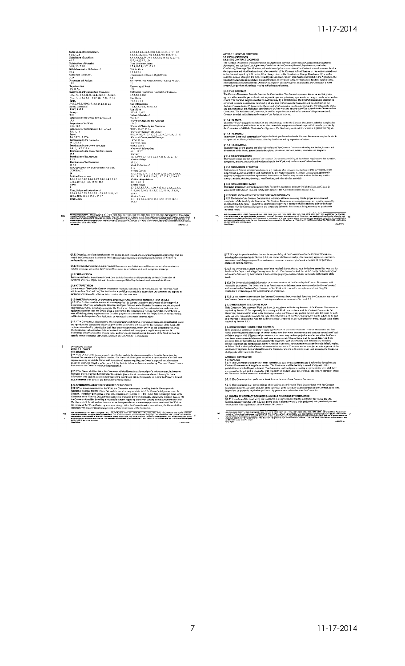Substitution of Subcontract<br>5.2.3, 5.2.4<br>Substitution of Architect  $\frac{6.73}{6.20 \text{ J} \cdot \text{S}}$  5.24<br>  $\frac{1}{2}$  5.25  $\frac{1}{2}$ <br>  $\frac{1}{2}$  Substitutions of Materials<br>  $3.40 \times 10.35$  7.33, 7.33<br>  $\frac{3}{2}$  Substitutions (3.5)<br>  $\frac{3}{2}$  Substitutions (3.5)<br>  $\frac{3}{2}$  Substitutions of Assigns<br> 35), 10.26<br>Supervision and Construction Procedures<br>Supervision and Construction Procedures<br>7.1.3, 23, 3.4, 5.22, 8.3.1, 9.4.2, 10, 12, 14, 15.1.3<br>Surety 7. Consent of<br>Surety, Consent of Sue,  $y_1$ <br>  $5.41.2, 9.8.5, 9, 10.4, ...$ <br>  $5.41.2, 9.8.5, 9, 10.4.7$ <br>  $5.10.2, 5.10.3$ <br>  $5.10.2, 5.10.3$ <br>  $5.45$ <br>
Suspension of the Work<br>
Namentian of the Work<br>  $\frac{1}{2}$ <br>  $\frac{1}{2}$ <br>  $\frac{1}{2}$ <br>  $\frac{1}{2}$ <br>  $\frac{1}{2}$ <br>  $\frac{1}{2$  $x^2$ ,  $y = 1$  =  $y = 0$  201 Convenience<br>
Suspension of the Work<br>
5.4.2, 14.3<br>
Suspension of Termination of the Contract<br>
5.4.1.1, 14<br>
Taxes Taxes<br>
3.6, 3.8.2.1, 7.3.7.4<br>
Termination by the Contractor<br>
14.1, 15.1.6<br>
5.4.3.1.1, 14.2, 13.1.6<br>
Termination by the Owner for Cause<br>
17.2.1.1.14.2, 13.1.6<br>
Termination by the Owner for Convenience 39-11, 1922 13:16<br>Termination by the Owner for Convenience<br>14:1<br>Termination of the Architect<br>4.1.3<br>Termination of the Contractor<br>14:22<br>TERMINATION OR SUSPENSION OF THE CONTRACT 14<br>Tests and luspections<br>3.1.3., 3.3.3, 4.2.2, 4.2.6, 4.2.9, 9.4.2, 9.8.3, 9.9.2,<br>9.10.i, 40.3.2, 11.4.1, 12.2.1, 13.5<br>CIME 8<br>
Tine, Delays and Extensions of<br>
3.2.4, 3.7.4, 5.2.3, 7.2.1, 7.3.1, 7.4, 8.3, 9.5.1, 9.7,<br>
10.3.2, 10.4, 14.3.2, 15.1.5, 15.2.5<br>
Time Limits<br>
Time Limits

113<br>
Written Consent<br>
152, 34, 2, 374, 312 R, 314 2, 41 2, 93, 2, 9.8.5,<br>
9.91. 910, 2, 910, 311, 114, 115, 2, 13, 4, 2, 15, 4, 4, 2<br>
42.11, 42.12<br>
Written Molice<br>
Written Nolice<br>
Written Nolice Written Notice<br>2.3, 2.4, 3.3.4, 3.9, 3.12.9, 3.12.10, 5.2.1, 8.2.2, 9.7,<br>9.10, 10.2.2, 30.3, 11.1.3, 12.2.2, 22.2.4, 13.4, 14,<br>12.4.1<br>2.4.1 12.4.1<br>Worten Orders<br>1.11, 2.3, 3.9, 7, 8.2.2, 12.1, 12.3, 13.5.2, 14.3.1,<br>15.1.2

ARTICLE 1 GENERAL PROVISIONS<br>
S11.0 AGENERAL PROVISIONS<br>
S11.1 THE CONTINUE TOCOMENTS<br>
S11.1 THE CONTINUE TOCOMENTS INTO A Agencinosis between the Owner and Connector (hereinsider the<br>
Agencinosis S11.1 THE CONTINUE TOCOM proposal, or periods of Addenda relating to bidding requirements.<br>
S11.2 THE CONTRACT<br>
S11.2 THE CONTRACT<br>
The Content Decomposition of the Constant Content of the Constant represents the orifice and integrated<br>
agreement § 1.1.3 THE WORK<br>The term "Work" means the construction and tervices required by the Contract Documents, whether completed by<br>partially completed gast includes sil utter later, imacrist, estapment and services provided by **§ 1.1.4 THE PROJECT**<br>The Project is the total construction of which the Work performed under the Contract Documents may be the whole<br>or a part and which may include construction by the Owner and by separate contractors. **S117 NSTRUMENTS OF SERVICE**<br>Inturnential of Service are representations, in any medium of expression now known or inter developed, of the<br>transplie and rinarylishe creative work performed by the Architect and the Architec § 1.1.8 INITAL DECISION MAKER<br>The Initial Decision Maker is the person identified in the Agreement to render initial decisions on Clai<br>accordance with Section 15.2 and ecrity termination of the Agreement under Section 14.2 **EXECUTE THE CONSTRAINT CONSTRAINED** of the Agreement under Section 14.2.2.<br>**§ 12. CORRELATION ARE IN THE CONTRACT DOCUMENTS**<br>**§ 12. CORRELATION ARE UNITED TO FIFICIAL CONTRACT DOCUMENTS**<br>complements of the United System AM December 42811-2001 Copyright 9:11, 1915 1918, 1925, 1937, 1931, 1945, 1961, 1958, 1979 1978, 1997, 1997 and 2007 by The American<br>Intelligent American, Allegets reserved WARNING This AM December at protected by U.S. Cop

§ 1.2.2 Organization of the Specifications into divisions, sections and articles, and arrangement of Drawings shall not<br>cookol the Confurator in dividing the Work among Subcontractors or in assabilishing the extent of Work

in American AMP, who specify the internal activities in the list and the the angle and the specifical productio<br>We are also a series and the specification in production in the specification of the theory and the company of

§ 1.2.3 Unless otherwise stated in the Contract Divelinents, words that have well-known rechnical or construction<br>industry niearlings are used in the Contract Documents in accordance with such recognized meanings.

§ 13 CAPITALIZATION<br>Terms capitalized in these General Conditions include those that are (1) specifically defined, (2) the miles of<br>numbered articles or (3) the hites of other documents published by the American tentities

§ LA INTERPRETATION<br>In the interest of brevity the Contanct Documents frequently writtenedicting words such as "all" and "any" and<br>atticles such as "blat" and "an," but the fact that a modifier or an article is shoret from

**ENTER IN MONEMATION CONSUMERATION CONSUMERATION CONSUMER ASSESSMENT AND MONEMATION CONSUMER AND USE OF DRAWINGS SPECIFICATIONS AND OTHER INSTRUMENTS OF SERVICE (\$15.0 That Available To a consultance is a series of Servic** 

**FIGURE 12 CONSUMER SECTION AND SET ASSESS** CONSUMER THE SECTION PRESSURE IS A CONSUMER THE SECTION OF THE SECTION OF THE SECTION OF THE SECTION OF THE SECTION OF THE SECTION OF THE SECTION OF THE SECTION OF THE SECTION O

 $\bar{1}$ 

(Program) is Defense)<br>**ARTICLE COMPRES**<br>**SATURE COMPRESS**<br>Contract DeSenario as the present or entity identified as such in the Agencient and is referred to the<br>suggestion of the substantial as if will present the advance

 $\S 2.12$  The Owner shall furnish to the Commutey wights filtered days after receipt of a written request, information<br>nocessary and relevant for the Commutation to ensimic, give undirect for reflects mechanic's lien right

**WHOM THE REPORT OF THE CONSULTER CONSULTER CONSULTING A SUBSERVER CONSULTER SECTION AND SERVICES SECURED OF THE OWNER proposed in whiting that the Owner provide reasonable reviewer than the Convert in the Constant Consul** 

AN DAMART AT A CHARLE WAS ARRESTED IN MONATION TO THOUGH AN ENGINEERING.<br>AN DAMART AND THE SECOND OF STATE SECOND THE SECOND RESIDENCE IN SIGN WAS CONTINUES TO THE SECOND BY THE ADDIT<br>HEAR OF APPROXIMATELY AND THE SECOND O

§ 2.2.2 Except for penniss and fees that are the responsibility of the Contractor under the Contract Documents,<br>including those required under Section 3.7.1, the Owner shall secure and pay for necessary approvals, escenten

 $$22.3$  The Owner shall furnish surveys determing physical element<br>erists, regular and which surveys determine physical element<br>include the video of the Project, and a legal determine to the different<br>information furnishe

§ 22.4 The Oweer shall fuenish information or services required of the Owner by the Contract Documents with<br>reasonable promptoses. The Owner shall also furnish any other information or services under the Owner's control<br>an

§ 2.2.5 Unless otherwise provided in the Contract Documents, the Owner shall furnish to the Contractor one copy of<br>the Contract Documents for purposes of making reproductions pursuant to Suction 1.5.2.

§ 2.3 OWHER'S RIGHT TO STOP THE WORK<br>
SPACE TO THE WORK CONTINUES FOR THE WORK CONTINUES TO THE WORK CONTINUES TO THE CONTINUES TO THE TOWARD CONTINUES TO THE WORK CONTINUES TO THE TOWARD CONTINUES TO CONTINUES TO THE CON

required by Section 6.1.3.<br> **§ 2.4 OWERS SIGNS OUT THE WORK**<br> **EVALUATION CONSECT OUT THE WORK**<br> **IT (the Contractor definal to regist to carry out the Work in accordance with the Contract Distance contracts of Statistic U** 

mail pay the difference to the Universe.<br>ARTICLE 3 CONTRACTOR<br>SATURE 2007 FRACTOR (TOR CONTRACTOR)<br>SATURE 2007 FRACTOR (TOR CONTRACTOR)<br>SATURE 2007 FRACTOR CONTRACTOR (TOR CONTRACTOR)<br>SATURE 2007 FRACTOR (TORON CONTRACTOR) 63.1.2 The Contractor shall perform the Work in accordance with the Contract Documents.

§ \$1.3 The Contractor shall not be retieved of obligations to perform the Work in accordance with the Contract<br>Documents either by activities or dueles of the Architect in the Architect's administration of the Contract, or impleasing or approved required in performancy persons or entries once man as conserver.<br>§ 2.2 Exercition of the Contract by the Contract server states in the Contract Contract.<br>§ 2.2 Exercition of the Contract by the Cont

AA Decument M2019 - 2007 Cephen (0 1911, 1915 1916, 1925, 1927, 1967, 1968, 1967, 1968, 1970, 1970, 1970, 1970, 1970 by The Avences<br>Institute of Advised All Agent manner WARPHO, The AND Document is proposed by O. Schools (

11-17-2014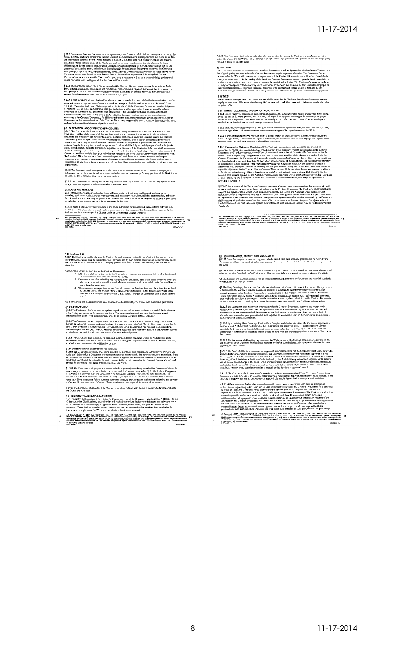§32.2 Because the Contract Documents are complementary, the Contractor shall, before starting each portion of the Wark, carefully and compare the various Content of the Society and the portion of the Wark and the portion

 $\S 3.2.3$  The Contractor is not required to succetano that the Contrast Documents are in accordance with applicable<br>laws, statistic, ordinances, codes, rules and regulations, or bawful orders of public authorities, but th stiall promptly<br>request for info

repare no uncommon un para los medios contrar may cepare.<br>
Sa a la fin de Contractor believes that additional cost or fine to level because of clientifications of interventions the Architectistics in response to the Contr

and regulations. and Iswish other of Figure and Contents to applicable laws, sustines, colles, rules ( $\frac{1}{2}$ ) BL/FIEWSOM AND CONSTRUCTION PROCEDURES<br>
§ 2.1 SEPENSION AND CONSTRUCTION PROCEDURES<br>
§ 2.1 SEPENSION AND CON

§ 3.3.2 The Contractor shall be responsible to the Owner for acts and omissions of the Contractor's employees,<br>Subcontractors and their agents and employees, and relier persons or entities performing portions of the Work f

states of the Contractor shall be responsible for impection of portions of Work already performed to determine that<br>such purtions are in proper condition to receive subsequent Work. § 3.4 LABOR AND MATERIALS<br>§ 3.4. United solutions (and in the Contrast Documents, the Contrastor shall provide and pay for labor.<br>materials, equipment, tools. construction equipment and machinery, water, heat, callides, tr

§ 3.4.2 Except in the case of minor changes in the Work authorized by the Archotect in necontance with Sections<br>3.1.2.8 or 7.4 the Contractor may make substitutions only with the consent of the Owner, after evaluation by t

eel A311 = 2007.<br>An orderline of the AAC Communic of the LUA 1930, 1930, 1941, 1946, 1951, 1952, 1952, 1962, 1972, 1987 and 200<br>An orderline of the AAC Communic or the posted of LLA Prime in the School Principal persistenc

§ 38 ALLOWANCES<br>§ 38 The Contuctor shall include in the Contract Sum all allowances stated in the Contract Documents. Items<br>but the Contextor shall the supplied for such amounts and by such persons or emittes as the Owner

- on.<br>
Shares of the state of matching the contrast of matches and equipment delivered at the site and<br>  $\frac{1}{2}$  Photostop and lower the contrast of matches and equipment delivered at the site and<br>  $\frac{1}{2}$  Photostop Cont \$3.82 Unless
	-
- § 3.8.3 Materials and equipment under an allowance shall be selected by the Owner with reasonable promptness.

§ 3.9 SUPERNITENDENT<br>§ 3.8. The Contractor shall employ a competent superintentient and measurey existents who shall be in standard<br>at the Project sin during performance of the Work. The superintendent shall represent the

§ 3.9.2 The Contractor, as seen as procticable after award of the Contract, shall furnish in writing to the Owner<br>through the Archivest the nume and qualifications of a proposed superbittedistic. The Archivest may reply wi

§ 3.8.3 The Com.econ shell not employ a proposed superintendent to whom the Owner or Architect has made<br>reasenable and trindly objection. The Couranter shell not change the superintendent without the Owner's consent,<br>which

While Your two universities The Control Control and Section 1996. The Section of the Control of the Control and SAM The Control of the Control of the Control of the Control of the Control of the Control of the Control of t

 $\mu$  value to the point of the state of the state of the state of the state of the state of the state of the state of the state of the state of the state of the state of the state of the state of the state of the state of § 3.10.3 The Contractor shall perform the Work in general accordance with the most recent schedules s<br>the Owner and Architect.

§ 3.11 DOCUMENTS AND REMOVES AT THE STE.<br>The Content of the Marina Content of the Stephen Content and comply of the University Specifications, Addents, Chan<br>The Content and Marinannia, in good order and match currently to

**THE CONSTRUCTION OF A PRODUCTION OF A REPORT OF A REPORT OF A REPORT OF A PROPERTY AND RELEASE AND CONSTRUCTION**<br>HOWEVER CHARGES CHARGES IN THE CONSTRUCTION OF A REPORT OF A REPORT OF A REPORT OF A REPORT OF A REPORT OF A  $3898$ 

§ 3.4.3 The Contractor shall enforce strict discipline and good order among the Contractor's employees and other<br>persons conving out the Work. The Contractor shall not permit employment of unfit persons or persons not prop

**§ 16 WARRANTY**<br>The Counterparameters and Mobilect that materials and equipment furnished under the Contract will be Counterparameters and with the counterparameters of the Counterparameters and with the form of the syste

**§ 3.6 TAXES**<br>The Common

3 An IAMES<br>The Chantackor shall pay seles, constants, too and similar taxes for the Work provided by the Contractor that are<br>legally cancelod when bids are reveived to registiations concluded, whether or not yet effective

§ 3.7 PERMITS, FEES, NOTICES AND COMPLIANCE WITH LAWS<br>§ 3.7 PERMITS, FEES, NOTICES AND COMPARENT INTO A CONDENSION AND HERE IN 1970 IN the District of the District<br>permit as well as for other permits, fees, herence, and in

§ 3.7.2 The Contractor shall comply with and give nonces required by applicable laws, statutes, ordinances, codes,<br>nites and regulations, and lawful orders of public authorities applicable to performance of the Work

§ 3.7.3 If the Contractor performs Work knowing it to be contrary to applicable laws, statutes, ortfinances, codes,<br>mises and regulations, or lawiki orders of public authorities, the Contractor shall assume appropriate res

for such Work and shall bear the costs attributele to correction.<br>
The such African section is the state of the cost of the state of the state of the state in the state in the state in the state in the state of  $\beta$  and

provides on Achieve 13.<br>
Sa 2.3 El, in the context of the World, the Contrador encounters human remains or recognizes the existence of bastic<br>
materials are continued by the Contrast in the Contrast Documental the Context

als commercially - above County of City, 1991, 1991, 1991, 1991, 1991, 1993, 1999, 1997, 1997, 1997, 1997, 199<br>Institute of Activity, Ad Apple, Maximid, The ALM County of Income is provided by the and the material county o

§ 3.12 SHOP DRAWINGS, PRODUCT DATA AND SAMPLES<br>§ 3.12.1 Shop Drawings are drawings, diagrams, schedules and other data specially prepared for the Work by the<br>Contractor or a Solacontractor: Sub-subcontractor, masufacturer,

§ 3.12.2 Product Data are illustrations, scanford schedules, performance chars, instructions, brachures, diagrams and<br>other information furnished by the Contractor to illustrate materials or equipment for some portion of t

§ 3.12.3 Samples ure physical examples that illustrate materials, equipment or workmanship and establish standards<br>by which the Work will be judged.

 $\S$ 3.144 Sloop Dawiege, Prodest Date, Samples and sindice subcriticals are est Connex Date means. Their proposes are also as the state of the product of the state of the state of the state of the state of the state of the

 $\S$ 3.12.5 The Contractor shall reveals for consumers subspace of the resolution parameters and solution of the Architect Shop Directing Product Direct Shape Contractor and state of the Architect Shop Directing Product Dir

§ 3.126 By submitting Shop Drawings. Product Data, Sungeles and almitar submittals, the Contractor represents to<br>the Owner and Architect that the Contractor base (1) reviewed and gapmest them. (2) degreeshed and workfael<br>c

§ 3.12.7 The Contractor shall perform an partion of the Work for which the Contract Dacuments require submittal<br>and wives of Shop Drawings, Product Data, Samples or similar submittals until the respective submittal has bee

approves to the Model the in accordance with approved submittatic accept that the Commeter shall not be relieved of SALD and the Commeter of the Commeter of the Accept Commeter of the Commeter of the Commeter of the Accept

§ 3.12.9 The Contractor shall direct specific attention, in writing or on resubmitted Shop Drawings, Produ<br>Samples or suntlar submittals, in revisions other than those requested by the Architect on previous submit<br>absence

denotes of their words, the Acceleration of properties approach and the properties approach of the properties of the property of the content of the properties of the system of the system of the properties of the system of s<br>to<mark>r s</mark>tull not be of the<br>ion criteria

-<br>AM frequencie A2019 - 2001, Copyright Strik, 1915, 1925, 1935, 1931, 1945, 1948, 1949, 199<sub>0,</sub> 199<sub>0,</sub> 1997, 1997, 1997 and 2001 by The Azerval<br>https://decision.org/state.org/materials/Web/Rolling/Rolling/Materials/US-Co

11-17-2014

 $\frac{1}{T}$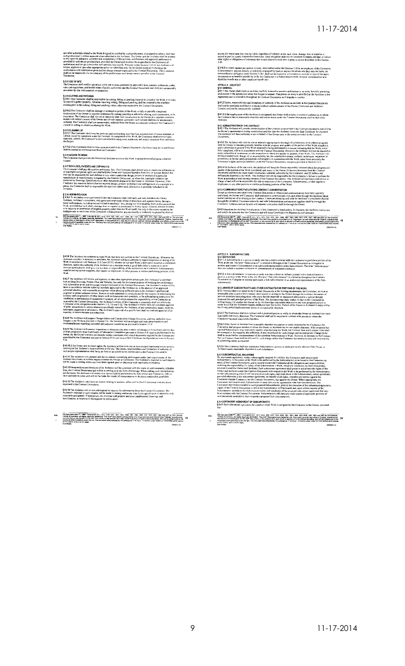**§3.14.2** The Contractor shall not damage or endanger a position of the Work or Euly or nation contents of the Work or Euly or nation of the Work or Euly or national contents of the Work or Euly of the Work or Euly of the § 3.15 CLEANING LIP<br>§ 3.154. The Contractor shall keep the premises and aurrounding ones free from accumulation of water materials or<br>materials, materials we permisent under the Contract. At completion of the Work, the Con § 3.15.2 If the Contractor fails to clean up as provided in the Contract Documents, the Owner may do so and Owner<br>thall be entitled to reimbangement from the Contractor. § 3.16 ACCESS TO WORK<br>The Contention shall provide the Owner and Arthitect access to the Work in preparation and progress wherever<br>Located <sup>12</sup> and 2012 and 2012 CHATES AND COPPERGHTS<br>
3 3.17 ROYAL RES, PATENTS AND COPPERGHTS<br>
The Contrastine that the formulation of the contrast and leads the contrast and depict the set of the contrast of the contrast of cop

and other submittels related to the Work designed or controls by such profer<br>spect, if propared by others, that hear approximately discussed by the<br>control of the proparties of the system of the proparties of the services

§ 3.13 USE OF SITE<br>The Contractor shall conflite operations at the site to areas permited by applicable laws, statutes, order, codes,<br>rules and regulations, and lawful reciers of public authorities and the Contract Documen

encano<br>18 Mai - The Contactor shall be responsible for cutting, fitting or patching sequent to ownplete the Work or to<br>18 Mai - The Contactor shall be responsible for cutting, fitting and patching dail) be responsible the

§ 3.18 INDENNIFICATION<br>
S 3.18 INDEX THE SECTION OF THE SECTION OF THE SECTION OF A CONTRACT SECTION OF A CONSTRUCT SECTION OF A CONSTRUCT CONSTRUCT AND A CONSTRUCT CONSTRUCT CONSTRUCT CONSTRUCT CONSTRUCT CONSTRUCT CONSTR

RSBIRGER and the empiricant of the Collegeant, a concentration of the particular (18, 1970, 1991, 1992 and 200 by The American<br>An Occupation (2001) - 2007 Company 9:31 (18), 1992, 1992, 1993, 1993, 1994, 1995, 1992, 1992,

reproduction or wea-<br>maximum estant pose<br>on CO/11/2015, and is n<br>User Notes:

 $\overline{1}$ 

§ 4.2.6 The Archivect has authority to reject Work that does not conform to the Contract Decuments. Whenever the Archivector is needed to the Archivect of the conformation of the matching of the matching of the matching o

Ward<br>The Architect will provide and approve, or take other appropriate action upon, the Contractor's submittal<br>space of the Architect will provide Dolar and Sumplex, but endy for the lives<br>of propriate defective propriate

§ 4.2.8 The Architect will prepare Change Orders and Construction Change Directives, and may authorize misse<br>changes in the Work as provided in Section 2.4. The Architect will investigate and make determinations and<br>recomm

**§42.3** The Architect will conduct inspections to determine the date or data of Substantial Completion and the date<br>of final completion, issue Confidence of Substantial Completion pursuant to Section 8.8, regards and forw

§ 42.40 If the Owner and Architect agree, the Architect will provide one or more project representatives to asset i<br>carrying out the Architect's responsibilities at the site. The dudes, responsibilities and limitations of

§ 42.11 The Architect will interpret and docide reatters concerning performance under, and requirements of, the<br>Comment Documents on written request of either the Owner or Contrastor. The Architect's respectes to such requ  $\S$  4.2.12 Interpretations and decisions of the Architect will be consistent with the intent of, and reasonably inferable<br>from, the Contract Decements and will be an writing or in the form of drawings. When making such in § 42.13 The Architect's decisions on matters relating to neahetic effect will be final if consistent with the intern<br>expressed in the Contract Documents.  $$42.14$  The Architect will review and respond to requests for information about the Contract Document<br>Architect's response to such requests will be made in writing within any time limits agreed upon or other<br>reasonable p

ne decembra ASIF - 2007. Georgia C (p) , (s) 3, 1973, 1973, 1975, 1985, 1985, 1996, 1997, 1997, 1997, 1997, 2012, 1997, 2012, 1997, 2012, 1997, 2012, 1997, 2012, 1997, 2012, 1997, 2013, 1997, 2013, 1997, 2013, 1997, 2013,

Courses a region and responsible state the Course. Oscillators are compared to the state of the state of the state of the state of the state of the state of the state of the state of the state of the state of the state of employees, or any other persons or entities performing permons of the work.<br>
§ 4.24 COMMUNEATIONS FACULTATING COMPRACT ADMINISTRATION<br>
Except to cheruring provided in the Context Documents or when direct conventionalized h § 4.2.5 Based on the Architea''s evaluations of the Contractor's Applications for Payment, the Architect will review<br>and certify the amounts due the Contractor and will issue Cortificates for Payment in such amounts.

anyone for whose acts they may be fishle, regardless of whether or not such claim, thanage, loss or expense is<br>taused in part by a party indemnified hereunder. Such obligation shall not be contensed to negate, abridge, or

 $\S$  3.18.2 in claims against one person or entity indemnified under this Section 3.18 by an employer of the Commerc<br>a Subcontractor, anyone directly or indirectly employed by them or anyone for whose esta does nay be liab

**URENCE 4**<br>**APICE 4 ARCHESCT**<br>**SALT The Owner shall ensine as a critical tandition is precised to practice attribution of an onling law<br>information of the Domes and real tandition where the Project is located. That person** 

"<br>§4.1.2 Duites, responsibilities and limitations of authority of the Architect as set forth in the Contract Documents<br>Shall not be restricted, modified or extended without arritten conserts of the Owner, Contractor and Ar

§ 4.1,3 if the employment of the Architect is terminated, the Owner shall employ a successor architect as to whom<br>the Contractor has no reasonable objection and whose states under the Contract Documents shall be that of th

842 ADMINISTRATION OF THE CONTRACT<br>84 A CHINESTRATION OF THE CONTRACT<br>94 A Chinese valley consider a studie is used in the Contract as described in the Contract Decements and will be<br>10 A Chinese suppresentative during con

**LOUGITER**<br>
2022 The Architect will visit the site at intervals appropriate to the stage of convention, or as otherwise agreed<br>
34 May 12 The Architect with the World Structure with the propress and quality of the portion

A M Decurrent Applie - 800 / Capyrol Chini, 1923-1951, 1935. [153], [163], 1941. [163], 1942. [192], 1942. [163], 1942. [163], [163], [163], [163], [163], [163], [163], [163], [163], [163], [163], [163], [163], [163], [163

AFTICLE 5 SIMOCONTRACTORS<br>§ \$1.0 SEPARTONS TO THE SUPER CONTROL ASSOCIATED FOR THE SUPERFORMATION INTERFERING IN THE SUPERFORMATION Of the<br>Work at the site. The term "Subsourcestor" is referred to throughout the Contrast D

§ \$4.2 A Sub-subcontractor is a person or entity who has a direct or individual contract with a Sub<br>perform a portion of the Work at the site. The term "Sub-subcontractor" is referred to through<br>Dictionantes as if singula

§ 52 AWARD OF SUBCONTRACTS ANO OTHER CONTRACTS FOR PORTIONS OF THE WORK SET UNICS ORDER TO THE SUBCTURE CONTRACTS AND OTHER CONTRACTS FOR PORTIONS (THE NOTIFICATE THE SUBCTIVITY OF PORTIONS) THE POST OF POSTAGE TO PORTION

§ \$2.2 The Contractor shall not contract with a proposed person or entity to whom the Owner or Architect has<br>reasonable and timely objection. The Contractor shall not be required to contract with anyone to whom the<br>Contrac

 $\sim$  measures the agent resolution that example objection to a person or strictly proposed by the Counterster, the SAS of the Counter technique and the strategies of the Counter of the Counter of the Counter of the counte

§ \$.2.4°) he Contractor shall not substitute a Subcontractor, person or entity previously selected if the O<br>Architect makes reasonable objection to such substitution.

Architect makes reasonable objective in e.g.b. (hybridical)<br>
Architect makes reasonable objective in e.g.b. (hybridical)<br>
§ 5.3 (SUPONTROLENCE), RELATIONS we have been considered by the Subscription of the Content<br>
Subscr

§ 5.4 CONTINGENT ASSIGNMENT OF SUBCONTRACTS<br>§ 5.4.1 Each subcontract agreement for a portion of the Work is assigned by the Contractor to the Dwner, provided<br>that

Alle Donaton (AM) <sup>18</sup> - 2001 (Countrie 2011) 11-5, 2018, 12-5, 13-24, 14-5, 14-5, 15-25, 16-5, 15-3, 15-3, 15-3, 15-3, 15-3, 15-3, 15-3, 15-3, 15-3, 15-3, 15-3, 15-3, 15-3, 15-3, 15-3, 15-3, 15-3, 15-3, 15-3, 15-3, 15-3,

11-17-2014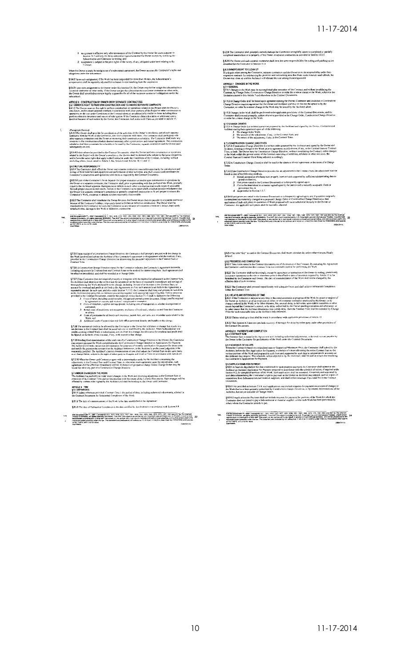$11 - 17 - 2014$ 

- **1** assiguint on the effective only after termination of the Contract by the Owner for cause pursons in Section 14 2 and only for these entered the Subcommercial submanity approximation in the Universe subject that the su
- When the Owner accepts the assignment of a subcontract agreement, the Owner assumes the Contractor's rights and<br>obligations under the subcontract.
- 
- § 5.4.2 Upon such assignment, if the Work has been suspended for more than 30 days, the Subcostractor's<br>compensation shall be equitably adjusted for increases in cost resulting from the suspension.
- $$5.4.3$  l'ipen such assignment to the Owner under this Section 5.4, the Owner may further action the subcontract to stock analysis of the Cover assigns the subcontract to other entity, the Cover assigns the subcontract t
- 
- **ARTICLE S CONSTRUCTION BY OWNER OR BY SEPARATE CONTRACTORS**<br>**ARTICLE S CONSTRUCTION BY OWNER OR BY SEPARATE CONTRACTORS**<br>**§ 5.1. The Owner meant separate constraint construction AND TO AWARD SEPARATE CONTRACTS**<br>**§ 5.1. T**
- (Forograph Deleted)<br>
2 Marcha 2014 (Figure 2014) A provide for coordination of the sativities of the Owner's corn forces and of esti-septimes<br>
2 Marcha 2014 (Figure 2014) A provide corner of work oliquidations and them in  $\mathbf{t}$ 
	- § 6.14 Unless otherwise provided in the Contrast Decuments, when the Owner performs construction or operation<br>related to the Project with the Owner's own forces, the Owner shall be deconted to be authored to the same obli
	- www.w.m.<br>§ 8.2 MultiAAL RESPONSIBILITY<br>single of the Commister shall afford the Diviner and commister contractors resonable opportunity for introduction and<br>storage of their materials and equipment and performance of their
	- Compared TV and the Content of Work depends for proper exemplion or ensulis upon content<br>only of 4.2 If gas of the Content of Work depends for proper exemplois or ensulis upon content<br>of the Volver of a separate content o
	- § \$2.3 The Commeter shall reinference to consistence of specific terms and are psychic to a repeate contract<br>because of the Commeter's delays, imposed to find a thirther or defective construction. The Owner shall be<br>respon
- AR Occupan A2014 2017. Company 6. Un. 1916, 1918, 1919, 1919, 1919, 1910, 1910, 1910, 1910, 1910, 1910, 1910<br>Institute of Articles, M. Falley spaced, Wilshirg, The AUF Description of Michael Company and articles and th<br>I
	- § 7.3.6 Upon receipt of a Construction Change Directive, the Contractor shall promptly proceed with the change in<br>The Work savebred and advise the Architect of the Contractor's agreement or disapsement with the method, if
	- § 7.3.8 A. Construction Change Directive signed by the Contractor inducates the Contractor's agreement therewith,<br>including adjustment in Commat Stom and Cormact Tume or the method for determining them. Such agreement shal
	- or enterior entropying an simulation to consider a simulation of the membership of the Contract Sun, the Acchiefect Contract Sun and the simulation of the simulation of the simulation of the simulation of the simulation o
		- - $2$  Costs of moterates, eagelles and equipment, including one of managematics, whicher isotoperated or<br>  $3$  Costs of modelinery and equipment, exclusive of land cools, whether rested from the Contractor<br>  $A$  Costs of prem
	- $\S$  7.58 The amount of credit to be allowed by the Crevincum to the Owner for a deletion or change that results in a<br>red decrease in the Crement Sum shall be actual net cost a confirmed by the Architect. When both additio
	- be Bartel on the desire of the metabolic, the system (see AC) and contact the control of the Contract of the Contract of the Section of the Section of the Contract of the Contract of the Contract of the Contract of the Co
	- **6 7.1 Comments of the Contract of the Contract of the Comments of the Comments of the Contracting the Contract Sum and Contract of the Julian Contract of the Contract Sum and Contract Time, or otherwise reach agreement up**
	- responses to the U.S. of the U.S. Conservation of the U.S. Conservation of the U.S. Conservation of the U.S. Conservation of the U.S. Conservation of the U.S. Conservation of the U.S. Conservation of the U.S. Conservation
	-
	- encuments<br>1941 DEFINITORS<br>1941 DEFINITORS<br>1943 L'Udiesc offensive provided. Countart Fine is dispertivel of time, including wellson and adjustments, alloted in § 8.1.2 The date of commencement of the Work is the date established in the Agreement
	- §8.1.3 The date of Substantial Completion is the date certified by the Architect in accordance with Section 9.8.
- AR DESIGNER (2011-2007) COOPING ETH THIS 1958, 1973, 1973, 1983, 1983, 1993, 1993, 1993, 1994, 1994, 1997 P. S.<br>HERRY STARTER, AT ROW HARRY BARRISES THE ANY DOUSING BUSINESS BY US CORREST LAST AND RESPONDED TO DESIGNERS 22
- **3** The centres is the eigenstern, it any, in one Contract Transfer and signal by the Owner and **STA A Construction Chapter (FIGS** STA A Construction Chapter Depending is a mixten order proported M-holder and STA A Constr § 7.3.2 A Construction Change Directive shall be used in the absence of total agreement<br>Order, Course.<br>
System that contained the contrast of the properties of the subjective to the contrast Sum, the adjustment what be<br>
the following methods<br>
A Montal secopeurs of a hange sum property interview and supported by suf
	- §7.3.4 If usit prises are stated in the Comran Documents or subtequently agreed upon, and if quantities originally<br>pointemplated are materially changed on a proposard Usage Order or Construction Change Directive so that<br>ap

§ 6.2.4 The Contractor shall promptly remedy damage the Contractor wrongfully causes to completed or partially<br>completed construction or to property of the Owner or separate contractors as provided in Section 10.2.5.  $\S$  6.2.5 The Owner and each separate contractor shall have the same responsibilities for cutting and patching as are described as a method of the state of the state of the state of the state of the state of the state of The **SO OWNER'S RIGHT TO CLEAN UP**<br>If a disguire atties among the Contractor, separate contractors and the Owner is to the responsibility under their<br>respective contracts for multilatinity the premises and surrounding area

ARTICLE 7 CHARGES IN THE WORK<br>§ 7.1 GEHERAL<br>Contract, by Changes in the Work may be accomplished after execution of the Contract, and without invalidating the<br>Contract, by Changes in the Notice 7 and elsewhere in the Contr

§ 7.1.2 A Change Order shall be based upon agreement among the Owner, Contractor and Architect; a Construction<br>Change Directive tragities agreement by the Owner and Architect and may or may not be agreed to by the<br>Contract § 7.1.3 Changes in the Wosk shall be performed under applicable provisions of the Contract Documents, and the<br>Contractor shall proceed promptly, suiters otherwise provided in the Change Order, Construction Change Directive

or two to the summarized and the function of the Architect and signed by the Owner, Contractor and §7.2.1 A Change Order is a written instrument prepared by the Architect and signed by the Owner, Contractor and<br>Acchitect

- 
- 

§ 8.1.4 The term "day" as used in the Contract Documents shall mean calendar day unless otherwise specifically<br>defined

§ 8.2 PROGRESS AND COMPLETION<br>§ 8.2.1 Time: limits sated in the Context Documents are of the essence of the Contract. By executing the Agreement<br>the Corenator constitut that the Contract Time is a renomable period for perf

§ 8.22 The Contrastor shall not knowingly, except by agreement or instruction of the Owner in writing, pramminely communely community of the site or distribution of the site of the community of the state of the state of th

while the Collection Lines.<br> **SAA DELAYS AND ESTEVISIONS OF THE**<br> **SAA DELAYS AND ESTEVISIONS OF THE**<br>
SAA I THEME COMBINED IN distance of the complete contractor employed by the Owner or by<br>
the Collection of Adelbick, a

us common covenants.<br>**ARTICLE & AVINENTS AND CONFLETION**<br>The Contract Sum as stuard in the Agreement and, including suborized adjustments, is the total anisoual payable by<br>The Contract Sum as stuard in the Agreement and, i

§ 22 SCHERULE OF VALUES<br>Where the Contracts in based on a stipulated sum or Guaranteed Maximum Price, the Contractor shall submit its the<br>Architect, before the first Application for Psyment, a schedule of values allocating

use Contractes 's Applications for Payment.<br>
Se a Meli-CATONS FOR PAYMENT<br>
SE APPLICATIONS FOR PAYMENT<br>
SE APPLICATIONS FOR PAYMENT<br>
SE A A cluster and specifical properties of the studies of the contracted with the studie

§ 9.3.1.1 As provided in Section 7.3.9, such applications nay include requests for payment on account of changes in<br>the Work back wie been properly surborized by Coestruction Change Unrectives, or by interim determinations § \$ 3.12. Applications for Payment stall not include requests for payment for portions of the Work for which the<br>Contractor does not intensive pay a Subcontractor or material supplier, unless such Work has been performed b

MA Document AM11 = 2007, Seprent 6 1911, 1911, 1925, 1927, 1926, 1937, 1938, 1939, 1939, 1973, 1973, 1973 and 2007 by The American<br>Induced of Lechoton, 44 leptons and processions in a Anti-Discount (a source of the Copyrig

 $\S$  8.2.3 The Contractor shall proceed expeditionsly with adequate forces and shall achieve Schst<br>within the Contract Time.

6832 Claims relative to time shall be made in accordance with applicable provisions of Article 15 § 8.2.3 This Section 8.3 does not preclude recovery of damages for delay by either party under other provis<br>the Contract Documents.

- 
- 
- 
- 
- 
- MR.<br>Mark Counter 4.0417 2002 Complete Diri, 1915, 1915, 1925, 1927, 1934, 1935, 1945, 1978, 1978, 1987, 1998, 1<br>Markhall Counter Canadian State of Distance, to say protected in the residence of the state of the second to
- 
-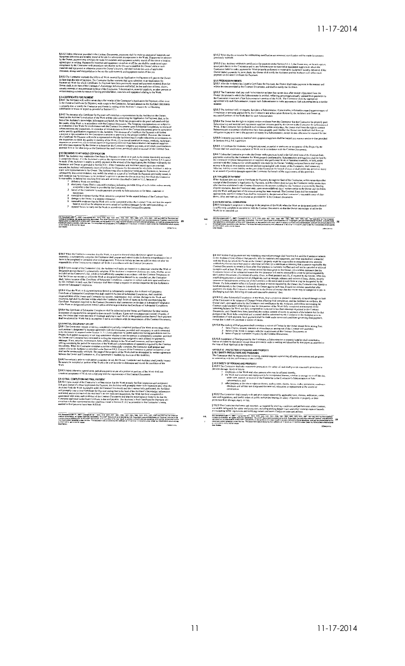§ 3.2.2 Usies otherwise provided in the Contract Decoments, payments shall be made on account of meterials approach at the substitute of the substitute of the state of the state of the state of the state of the state of t

§ 33.3 The Contrador warrants that hite to all Work covered by an Application in Figure will pass to the Owten<br>to lake these discussions. The Contrast factor warrants that goes university in the spectral of an Application

§ 24 CERTIFICATES FOR PATMENT<br>§ 54.1 The Anchouse will, within seven days after receipt of the Contractor's Application for Psyment, either issue<br>to the Overer Contificate for Psyment, with a copy to the Contractor, for su

cofficial the status of the part is provided in Section 9.5.1.<br>STRECT and the status of the status of the status of the system of the status of the status of the status of the status of the status of the status of the sta

Sometical that regional the MONE of the Montgomery of the Contract registration of the Commute South and the Contract Contract Contract Contract Contract Contract Contract Contract Contract Contract Contract Contract Con

est frammen by the market converge and the Captain of the control of the same. We inter the control of the man<br>Interaction of demonstration and All December of products for interaction control and the product of the conce<br>

§ 8.4.2 When the Contractor considers that the Work, or a portion thereof which the Owner agrees to accept<br>separately, is usbrannially complex. the Contractor thall presure and submit to the Archatect a comprehensive but o

**§ 38.3** Upon receipt of the Contractor is such as the summarizer with an input contractor. All the contractors is the the contractor of the Architect will make an impension to determine whether the World projection chere

§ 9.84 When the Work or designated portion thereof is substantially complete, the Architect will propose a<br>Certificate of Schwarini (completion bast data establish the date of Schwarzela Completion, shall candidate<br>respon

§9.8.8 The Certificate of Substances' Completion shall be submitted to the Change and Contractor for their write<br>acceptance of responsibilities assigned to them in such Certificate. Upon such acceptance and content of sure

shall be adjusted for Work. Thus incomplete or not in accordance with the requirements of the Contract ENGLES (5.8 (2.9) and the Contract of the Contract or Section 1.3.1 and and contract or the contract of  $\frac{1}{2}$  and

§ 9.9.2 Immediately prior to such partial compancy or use, the Owner, Contractor and Architect shall Jointly insg<br>the area to be occupied or portion of the Work to be used in order to determine and record the condition of

§ 9.9.3 Unless otherwise agreed upon, partial occupancy or use of a portion or pertions of the Work shall not<br>constitute acceptance of Work not complying with the requirements of the Contract Documents.

**CONFIDENTIAL CONFIDENTIAL AND CONTINUES IN THE DESCRIPTION OF THE CONFIDENTIAL CONFIDENTIAL CONFIDENTIAL CONFIDENTIAL CONFIDENTIAL CONFIDENTIAL CONFIDENTIAL CONFIDENTIAL CONFIDENTIAL CONFIDENTIAL CONFIDENTIAL CONFIDENTIA** 

AN INDEPENDANCE - 2017 (1999) € 18: 1990, 1990 (1991) 1991, 1992 (1991) 1993, 1993 (1993, 1992) (1997 (1993) (1993 (1999) (1993 (1999) (1999) (1999) (1999) (1999) (1999) (1999) (1999) (1999) (1999) (1999) (1999) (1999) (

§ 9.5.2 When the above remons for withholding certification are removed, certification will be made for amounts<br>previously withhold.

§ 9.5.3 Iz éte Architect withholds confification for payment under Section 9.5.1.3, the Owner may, at its sole option,<br>Biser joint descis to the Coulestor and to any Subsequence or material or equipment suppliers to show t

r<br>§ 8.6. PROGRESS PAYMENTS<br>§ 8.8.1. After the Archivact has issued a Certificate for Payment, the Owner shall make payment in the me<br>within the rime provided in the Contract Documents, and shall so notify the Architect.

 $\S$  \$ £.2 The Contractor shall pay each Subcontractor as fater than serve than access of payment from the<br>Owner the amount to which the Subcontractor is entired, releasing precentages attack) redimed from payments to<br>the

§8.6.3 The Architect will, on request, furnish to a Rabcontractor, if practicable, information regarding percentages of<br>completion or amounts applied for by the Contractor and action taken thereon by the Architect and Owne

§ \$.64 The Owner has the right to request winten evidence from the Contractor that the Contractor has properly paid<br>Subsequence an instantant and equipment waptions numanos paid by the Owner to the Contractor for subsequen رده و در این است.<br>The best desired or payments to material and equipment suppliers shall be treated in a material or an informat<br>The Sections 9.6.2, 9.6.3 and 9.6.4. .<br>nilar to that provided

§9.8.6 A Certificate for Payment, a progress payment, or partial or enrive ists or occupancy of the Pro<br>Owner shall not constitute acceptance of Work not in accordance with the Contract Decuments. .<br>Shiriba

 $\frac{6}{3}$  S.F.7 Ueless the Contractor provides the Owner with a paymust bond in the fall penal sum of the Contract Sume, paymust bond in Welles Contract Sume (as the Contract Sume Contract Sume that the Contract of the Co

§ 9.7 FAILIRE OF PAYMENT<br>The Accident distance is contribute for Payment, through the final of the Contractor are adapts after<br>receipt of the Contractor's Application for Payment, or idea Contractor's Contractor within a s

838 SURSTANTIAL - we a wave we as provided for in the Contract Decuments<br>1938 SURSTANTIAL COMPLETION<br>IS and Recordly complete in accordance with the progress of the Work when the Work or designated pursion theme<br>Werk for i

AM Decumen A201 ~ - 2017. Cayaget at list, (315, 818, 1925, 1931, 1931, 1948, 1961, 1978, 1978, 1978, 1978 and 2021 in The America.<br>Installed Museum, All rights married WARRING, The AAP Opening in proprietor that comprehen

§ 9.142 Veiden food payment nor any remaining restricted processure shall become due used to Content the Montest Content of the symptom of the symptom of the symptom of the symptom of the symptom of the symptom of the sym

discharging such liter, including all costs and reasons<br>be attancys' fees  $\frac{1}{2}$  for all  $\frac{1}{2}$  for a such a such a such a such a such a such as the Control of the Control of the Control of the Control of the Contro .<br>confirms, the<br>minatine the

 $\S$  \$1.0.5 Acceptance of final payment by the Contractor, a Subcontractor or material supplier shall constitute a<br>waiver of claims by that payes except those previously made in writing and identified by that payee as unce

ARTICLE 10 PROTECTION OF PERSONS AND PROPERTY<br>§ 10.1 SAFETY PRECAUTIONS AND PROGRAMS<br>The Connector with the reportable for initiating, maintaining and supervising all safety precausions and programs<br>in commodium with the p

to construct with the performance of the Common<br>  $\frac{1}{2}$  GD2. The EXEC of the Common Constraint of the Common Constraint of the Common Constraint (Section 1998)<br>  $\frac{1}{2}$  GD2. The Common Constraint of the Common Constr

§ 10.2.2 The Contractor thail comply with and give nonces required by applicable laves, issuess, ordinances, ondes.<br>rules and regalistions, and lawful orders at public authorities bearing on safety of persons or property o

 $\beta$ . State Contract that the scale matterial, as required by exacting conditions and performance of the Contract, research and the Contract, research and the Contract, research and the Contract of the Contract of the Con

11-17-2014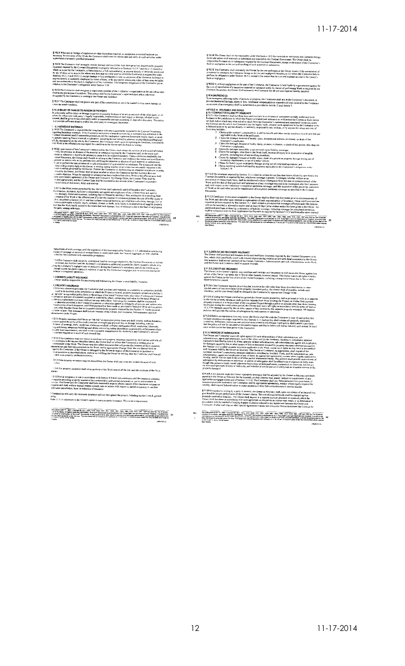**§ 10.2.4 Who**<br>Pecassary for inse or storage of explosives or other hazardous materials or equipment or univural methods are<br>execution of the Work, the Contractor shall exercise utmost care and carry on such activities under<br>Eproparly qualified person

supervision of property qualified personnel.<br>  $\mathbf{S}$  the Contract of Property controllation of the Contract of the state of the state of the Contract of the Contract of the Contract of the Schedule in the state of the C

§ 10.2.6 The Contractor shall designate a responsible member of the Contractor's regarization at the site whose dun<br>shall be the provention of accidents. This person shall be the Contractor's supermitenders unless otherwis

§ 10.2.7 The Contractor shall not permit any part of the construction or site to be loaded so as to cavea damage or<br>Create an unsafe condition.

Citers an lanear Constants.<br>In 1922 Walky OR DAMAGE TO PERSON OR PROPERTY<br>In viele comp suffers injury or demage to person or property because of an act or unlikelion of the other party, or of<br>In viele comp suffers injury

In the provide sufficient detail to entail a ps other party to investigate the context.<br>  $\sim$  10.1 NAZARDOUS KATERIALS contribute to compliance with any requirements included in the Courtext Detail<br>  $\approx$  1933. The Covenan

<sup>410</sup> Work in the affected area and report the condition to the Owner and Architecta is verified.<br>
519 D2 (poor need) of the Context <sup>2</sup> well in the Condition of the Owner and Architects of a location of a location of the

- Document A201<sup>-16</sup> - 2007. Copyright **Q** 1911. 1915. 1918. 1921.<br>The of Archaeos, All rights reserved. WARNING: Toja 4.14. Toponient<br>production or diaptization of this AAR Document. or Bin A4R Document<br>Knives extent poss . 1927. - 1951. - 1968. - 1961. - 1968. - 1979. - 1976. - 1987. - 1997. - India and Caster by The American .<br>Curriculus S. Profession By and . Comparing the ten and International Tenamer. Unauditorizes . . . . . . . . 2<br>of

replacement of such coverage until the expiration of the time required by Section 11.1.2. Information conversing<br>incition of coverage on account of revised limits or claims paid under the General Aggregate, or both, shall

.1.4 The Contenent shall cause the commental liability coverage required by the Contract Documents in inclusion.<br>He Owner, the Activity and the Architect's considerate is additional insureds for claim equated in whole or i

1.2 OWNER'S LIABILITY INSURANCE<br>- Owner shall be responsible for purchasing and maintaining the Owner's usual liability insu

<sup>2</sup><sup>13</sup> MODERTY INSURFACE IN particularly and maintaining the Owner's usual liability inturance<br>
13 MODERTY INSURFACE IN CONSTRUCTION CONTINUES INTO the Content of the Content of the Content of the Construction of the Con

(15.1). Property insurance shall be on an "aff-rist" or equivalent policy form and shall include, wishout Enstances and the state of the content of the content of the content of the content of the content of the content o

<sup>21</sup>3 10 If the Contractor does not lower the purchase such property integrance required by the Contract and with all the Contractor does on the Contractor of the Contractor of the Contractor of the Contractor of the Cont

3.1.3 If the property instrance requires deductibles, the Owner shall pay costs not to

14.4 This property insurance shall cover portions of the Work stored off die site, and also portions of the Work

www.<br>1315 Parial occupancy or use in accordance with Section 9.9 shall not commence until the insurance company<br>- Impairies proceding property insurance have constented to such pariial occupancy or use by endorsement or<br>-

ction will carry the necessary insurance policies throughout the project, including builder's risk & general : Construction will carry the necessary invariance policies via vaginess over exc. ...<br>https://<br>index.13.3.1 references to the Owner's option to carry property insurance. This is not a requirement.

ux unes April - app : Copyright Bill Light State Tourists Jose Law Lay Light State Lay Los Light and 2007 by The American<br>Lis of Audella A Regis relevant WARINNO: The AIM Occurred is problem by US. Copyright to and the rel

 $\S$  10.2.4 The Owner shall not be responsible under this Section  $\{0.3$  for materials or substances the Confuser, the Confuser and the state of the state of the state of the Confuser of the Confuser of the Confuser of th

§ 10.3.5 The Contractor shall indentially the Owene for the constant expose the Owene incurs (1) for remediation of<br>it material or substance the Contextore brings to the site and regligently handles, or (2) where the Contr

§ 10.3.8 if, without negligence on the part of the Contractor, the Contractor is held highe by a government agency for<br>the cost of reneralizion of a hazardine nusterial or substance solely by reason of performing Work as r

exterminations<br>In all EMERGENOESS<br>The all EMERGENOESS<br>The all Emergency affecting sufety of persons or property, the Contractor and II act, at the Contractor's discretion, to<br>prevent intentanted durings, injury or loss. Ad

When the High Hampshire of the SONG Communication processes in course, its any statement and the SATI COMMAND CARR COMMAND COMMAND COMMAND CONTRACT SURFACE IN the COMMAND COMMAND COMMAND COMMAND COMMAND COMMAND COMMAND COM

Contains to by any one distributed by map (solution by any of them, or by anyone for whose at a toy of the Contains of the Contains of the Contains of the Contains of the Contains of the Contains of the Contains of the Co

- 
- 
- 
- 

**§ 11.1.2** The interaction of the Section 11.1.1 shall be written for not less than limit of iiability specified in the system of the Section 11.1.1 shall be written for not less than the limit of iiability specified in t

§ 11.1.3 Certificates of proximite acceptable to the Owner that lies field width the Covart prior to commencement of the Work and thereshot pays respectively. The certificate and the interaction of the Universe projection

esem os sustantes wie in the mail Application for Psymemias required by Section 9.1.0.2 and thereafter upon renewal<br>All Designer AST<sup>H</sup> - this Computer Parties and Section 1976 1976 1984 1997. International Technical Inter

 $\mathcal{L}$ 

§ 11.1.2 BOILER AND MACHINERY INSURANCE<br>The Comercial purchase said fusioning bolice and machinery insurance required by the Contract Decuments of by<br>The Comercial all behindly cover such insured eigenst during installatio

§ 11.3.3 LOSS OF USE MSURANCE<br>The Owner, as the University space of the material control in the control means as will incurre the Owner against loss<br>of use of the Owner's property due to fire or collections bowever caused.

§ 11.3.4 If the Castnestor requests in writing that insurance for risks other than flows described heroid or other<br>special causes of less he included in the property insurance policy, the Owner shall, if possible, natiole

 $\S$  11.3.5 If during the Project contraction period the Cover strategy spacetive collapse Crosset or hold. at or adjacent contraction period the Cover strategy properties, red to prove provided on the provided on the cove

§ 11.3.5 Defere an exposure to forts may occur, the Owner shall file with the Contractor a copy of each policy to include expression consistent of the Contractor and the conditions, exclusively conditions, the conditions

(ii) as written molecule has been gown to the Counter.<br>
The state of the first state of the state of the Counter of the Counter of the counter of the state of the state of the SV-TWANGBS OF SURFACEA The Counter and C coun

property duragest.<br>§ 15.8 A loss justiced inder the Convert geoperty insurance shall be adjusted by the Comet as Balackey and mad<br>payable to the Covert in fideciary for the insureds, as their interest may uppear, tablied t

§ 11.3.9 If required in writing by a party in interest, the Owner as fidering shall, upon occurrence of an instead lost procedure and the control of the Control of the Control of the Control of the Control of the Control

AM Distrument ASH \*\*\* - 2021 Convigers 0-811 : 113-3. 113-115-125. 1951. 1963. 1963. 1978. 1979. 1979. 1979. 1979. 1979. 1979. 1979. 1979. 1979. 1979. 1979. 1979. 1979. 1979. 1979. 1979. 1979. 1979. 1979. 1979. 1979. 1979.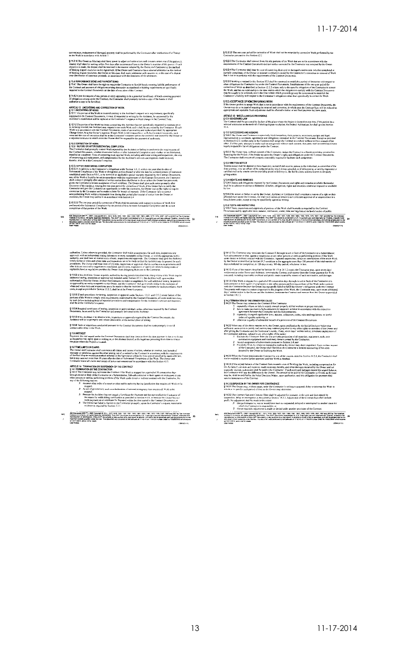convenience, replacement of damaged property shall be performed by the Contractor after notification of a Cha<br>in the Work in accordance with Article 7.

**§ 11.3.10** The Owner as fiducing shall have power to adjust and settle a loss with insurest smiss one of the parties in insure that the days after countries the loss of the parties of the parties of the countries of the

§ 11.4 PERFORMANCE BOND AND PAYMENT BOND<br>§ 11.4.1 The Owner shall have the right to require the Contractor to furnish bands covering faithful performance of<br>the Contract and payment of obligations arising beneatder as sing

§ 11.4.2 Upon the request of any person or contry appearing to be a potential beneficiary of bonds covering payment<br>of obligations arising under the Contract, the Contractor shall promptly furnish a copy of the bonds or sh

ARTICLE 12 UNCOVERING AND CORRECTION OF WORK<br>§ 121.UNCOVERING OF WORK<br>expressed in the Content Documents, it must it requested in writing by the Archivers of the majorements specifically<br>expressed in the Content Documents,

 $\S$  12.12 If a portion of the Work has been covered that the Architect has not specifically requested to examine prior to the line of the Solvice Control and Architect may be interested to examine the Control of the Contr

**Example to the Control of WORK**<br>
SUZ CORRECTION OF WORK<br>
SUZZ I BEFORE OR AFTER SURFACT LOT UNIT CONTROL INTO THE CONTROL OF INTERFERENCE OF THE CONTROL OF THE CONTROL OF THE CONTROL OF THE CONTROL OF THE CONTROL OF THE C

EVERY, suit to a BIE CONFIRENCE E SPERIE.<br>
SERVICE SURPLETION AND THE SURPLETION SURPLETION CONFIRMED IN SOCIOL AND THE SURPLETION OF SYSTEM CONFIRMED IN SURPLETION (SURPLETION SURPLETION SURPLETION SURPLETION SURPLETION

§ 12.2.2.2 The one-year period for correction of Work shall be extended with respect to portions of Work first<br>performed after Substantial Completion by the period of time between Substantial Completion and the actual<br>comp

AM, Detained A2019 - 2007, Copyright EEE, 1913, 1913, 1933, 1931, 1936, 1948, 1949, 1949, 1959, 1949, 1937 and 2007 by The Annexand<br>Website processing the agent webman Relations. The AMF December a protected by U.S. Copyri

authorities. Unless otherwise provided, the Contractor shall make a<br>rangements for usels tests, improved and the contractor of the contractor<br>of the Contractor sphere of the contractor of the contractor of the Contractor<br>

**§ 13.52** If the Architect, Owner or public authorities having jureduction determine that perties of the Wost exquire and SMS and additional testing associates and the system of the product scheme in the system of the sys

 $\S$  13.8.8 If such procedures for texting, inspection or approval under Sections 13.5.1 and 13.5.2 reveal failure of the Work to comply with requirements spake bottom of the most property of the Work to comply with requir § 13.5.4 Required certificates of lesting, inspection or approval shall, unless otherwise required by the Cos<br>Documents, be secured by the Contractor and promptly delivered to the Acchines:

§ 13.5.5 If the Architect is to observe tests, inspections or approvals required by the Contract Documents, the<br>Architect will do so promptly and, where practicable, at the normal place of testing.

§ 13.56 Tests or inspections conducted pursuant to the Contract Documents shall be made promptly to avoid.<br>unreasocable delay in the Work. § 13.6 INTEREST

Payments due and uppaid under the Contract Doctunents shall bear interest from the date payment is due at such rate<br>as the parties may agree upon in writing or, in the absence thereof, at the legal rate prevailing from tim

<sup>24</sup> **BPA**<sup>2</sup> **THE LIMITS ON CLAIRS**<br>**S127 THE LIMITS ON CLAIRS**<br>**S127 THE LIMITS ON CLAIRS**<br>**S227 THE LIMITS ON CLAIRS** connected and compense and claims and causes of action, whether in considerate with the requirements

Counterly wave at Laurent and ones on Accord and containers of in accordance with this Section 13.7.<br>ARTICLE 16 TEMMATION OR SISSPENSON OF THE CONTRACT<br>5 14.1 TEMMATION BY MEE CONTRACTOR<br>5 14.1.1 The Contractor may be<br>min

- stopped:<br>2 An act of government, such as a declaration of national emergency that requires all Work to be<br>meaned.
- sopped:<br> **3** Research the Anchinesia has not issued a Certificate for Payment and has not notabled the Contenent of the research functional certification is provided in Section 9.4.1, or because the University and the pro
- 

AM December 532(\* - 2001), Georgia 6:11 1 - 1951, 1953, 1952, 1953, 1963, 1963, 1963, 1970, 1970, 1971, 1972, 1972, 1972, 1972, 1972, 1972, 1972, 1972, 1972, 1972, 1972, 1972, 1972, 1972, 1972, 1972, 1972, 1972, 1972, 1972

§ 12.2.2.3 The one-year period for correction of Work shall not be extended by corrective Work performed by the<br>Contractor pursuant to this Section 12.2

§ 12.2.3 The Contractor shall remove from the site portions of the Work that are not in accordance with the<br>requirements of the Contract Documents and are neither corrected by the Contractor nor accepted by the Owner

§ 122.4 The Contractor shall bear the cost of currecting destruyed or damaged construction, whether completed or<br>partially completed, of the Owner or separate contractors caused by the Contractor's correction or removal of

§ 12.2.5 Nothing contained in this Section 12.2 shall be constructed to establish a period of limitation with region of the construction of Contractor of the one-year position of Construction of Work as described in Secti

§ 12.3 ACCEPTANCE OF NONCONFORMING WORK<br>If the Owner prefers to borght Work that is not in accordance with the requirements of the Contract Decuments, the<br>Owner may do so havised of requiring to semanal and correction, the

ARTICLE 13 MISCELLANEOUS PROVISIONS<br>STAT COVERNING LAW<br>Birst Contact dail lie governed by the law of the place where the Project is located except that, if the parties have<br>Birst Contact dail lie governed by the law of the

§ 13.2 SUCCESSORS AND ASSIGNS<br>§ 13.2.1 The Owner and Contractor 1 y 122. Sevences of the Assembles requestively bind themselves, their partners, successors, assigm and legal<br>1922. The Counter and Contractor respectively bind the method on the Content Dosments. Except as provided<br>In Secio

§ 11.2.2 The Cromer may, without consent of the Contractor, assign the Contract to a lender providing construction<br>financing for the Project, if the lender assumes the Owner's rights and obligadors under the Contract Docum

§ 13.3 WRITTEN NOTICE<br>Written water that be downed to have been duly verved if delivered in person to the individual, to a member of the<br>ortified mail or by convictor of the corporation for which it was intended, or if del

§ 13 4 RIGHTS AND REMEDIES<br>§ 13 A 1 Ducies and obligations imposed by the Contract Documents and rights and remedies available thereunder<br>shall be in addition to and not a Binitation of duties, obligations, rights and reme

§ 13.4.2 No action or failure to act by the Owner, Architect or Contractor shall constitute a waver of a right or duty<br>afforded them under the Commat, not shall such action or folivier to act constitute approval of or acqu

§ 13.5 TESTS AND INSPECTIONS<br>§ 13.5.1 Tests, inspections and approvals of portions of the Work shall be made as required by the Contract<br>Documents and by applicable Laws, statates, ordinances, cades, rules and regulations

17-Martinson and the "gap procedure and substances", under the basic manufacturers of the Victorian and the American<br>The Dependent State - 2007 Concelled 1914, the 1916 1925 1937 reduced and the State and The Tart Hard And

§ 14.1.2 The Costrance may vernimate the Contrast if, through no act or finit of the Contrastor or a Subcortractor, Sch-contrastor or a Subcortractor, in the state of the Rock of the State of the State of the State and th

 $\S$  14.1.2 If one of the reasons described in Section 14.1.1 or 14.1.2 exists, the Contractor may, upon seven days'<br>written notice to the Owner and Architect, terminate the Contract and recover from the Owner psyment for § 14.14 if the Work is stopped for a period of 60 consecutive days through no act or final of the Contractor or a<br>with the Contention beams the Coviet bar registed in finite of the University of the Content of the Content

**S** 14.2 TERMINATON BY THE OWNER FOR CALISE<br>  $\frac{6}{5}$  14.2 TERMINATON BY THE OWNER FOR CALISE<br>  $\frac{1}{2}$  14.2 TERMINATON BY THE OWNER FOR CALISE<br>  $\frac{1}{2}$  for types the system to Subconstruction for materials or landon

A contrast to plane the same state, the Downer use contrast of the branching of the same state. The same state of the same state of the same state of the same state of the same state of the same state of the same state of

§ 14.2.3 When the Owner terminates the Contract for one of the reasons stated in Soution 14.2.1, the Contractor shall<br>not be entitled to receive further payment until the Work is thrished.

 $\S$  4.2.4 if the unpaid balance of the Contract wear were to mothed.<br>The Académic competition for the Contract Source research costs of finishing the Work, including compensation for<br>the Académic Source and express made n

§ 14.3 SUSPENSION BY THE OWNER FOR CONVENIENCE<br>§ 14.3.1 The Owner may, without cause, order the Contractor in witting to suspend, delay or interrupt the Work in<br>whole or in part for seek period of time as the Owner may det

§ 14.3.2 The Commer Sum and Connect Time abull be adjuded for increases in the cost and time entance of the state of the state of the Connection is described to Section 1.6.1. Adjustment of the Context Sant full include p

All Designers Although The Temple Association of the term connect structure provision of the Contract.<br>Hopping Although The Temple and William The Hopping Strategies and the temple is the start strategies and the<br>Hopping C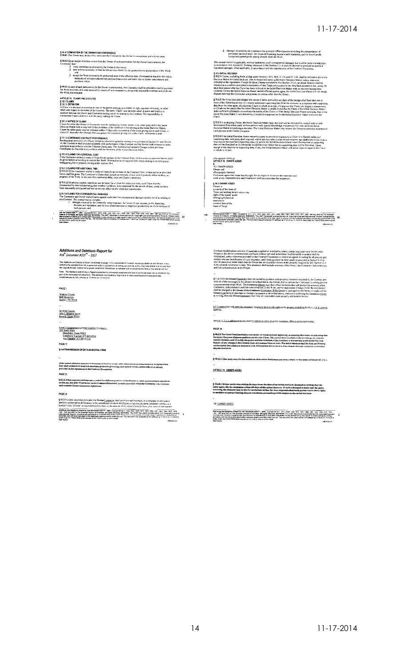§ 14.4 TERMINATION BY THE CWNIER FOR CONVENIENCE<br>§ 14.4.1 The Owner may, at any time, terminate the Contract for the Owner's convenience and without except

- **EVALUATION** The system of the contract of the Context of the Context score in the context series of the Context of the Context scheme.<br> **EVALUATION** The Context of the Context of the Context scheme of the Context scheme.
- § 14.4.3 In case of such termination for the Owner's convenience, the Courostor shall be entitled to receive payment<br>for Work necessed, and costs incurred by reason of such remainstion, along with reassauble overhead and p

# ARTICLE 15 CLAIMS AND DISPUTES<br>§ 15.1 CLAIMS<br>§ 15.1.1 DEFINITION

ANAC CLAIRS<br>A SAC CLAIRS<br>A SAC CLAIRS COMPANY AND SERVED TO THE PARTIES SENSING, as a matter of right, payment of nonto<sub>2</sub>, or other<br>A first of a domand or assortion by one of the parties sensing, as a matter of right, pay

§ 15.1.2 NOTICE OF CLAIMS<br>Claims by entre the Owner or Contractor must be iniciared by written neutee on the other party and to the latinal<br>Declines Maker with a copy sear to the Andaluses, if the Architect is not serving

**THE SECTION CONTRACT THE COUPLIFS ASSESSED ASSESSED ASSESSED AND A SECTION OF A STATE OF A STATE OF A STATE OF A STATE OF A STATE OF A STATE OF A STATE OF A STATE OF A STATE OF A STATE OF A STATE OF A STATE OF A STATE OF** 

§ 15.1.4 CLANIS FOR ADDITIDNAL COST<br>If the Contractor which is make a Claim for an increase in the Contract Sum, written active as provided berein shall<br>be given before preceding to execute the Work. Prior writted is not r

§ 15.1.5 CLAINS FOR ADDITIONAL THE<br>§ 15.1.5 LLAINS FOR ADDITIONAL THE<br>h 15.1.5 LLAINS FOR ADDITIONAL THE SECTION IN 2011 IN THE SECTION OF CONSTANT TIME, written native as provided<br>pherin shall be given. The Contractor's C

.<br>• § 15.15.2 If adverse waster consistence are the basis for a Glasm for additional time, such Claim shall he<br>• bounderted by data subtrantating that weather conditions were alinomial for the period of time, could not hav

**EXECUTE THE CONSEQUENTIAL CONSERVATION**<br> **EXECUTE:**<br> **EXECUTIVE CONSERVATION CONSERVATION**<br>
THE CONSERVATION OF CONSERVATION CONSERVATION CONSERVATION OF CONSERVATION<br>
THE CONSERVATION CONSERVATION CONSERVATION CONSERVAT

AM December Admin - 2001, Copyright 1911, 1915, 1921, 1922, 1927, 1931, 1932, 1933, 1935, 1935, 1937, 1937, 203<br>Matematics and Copyright 1940, 1940, 1940, 1940, 1940, 1940, 1940, 1940, 1940, 1940, 1940, 1940, 1940, 1940, 1

# Additions and Deletions Report for<br>AIA<sup>\*</sup> Document A201<sup>74</sup> – 2007

The Addition are findefunding record as defined on page 1 of the associated dissurant, represented by all other activities in the activity of the activity of a state and the state and the state and the state of the state a

PAGE1

Winkler County<br>828 Mever J.n.<br>Kermit, TX 79745

Winkler County<br>100 E. Winkler Street<br>Kermit, Texas 79745

Level 5 Architecture Limited Liabilev, Company<br>108 South Malg<br>Mansford, Texas 7(995)<br>Mansford, Texas 7(995)<br>Education & Number: 817-842-0212<br>Fax Number: 817-842-0214

## \$1.6 TRANSMISSION OF DATA IN DIGITAL FORM

if the pather intend-tu-immenti-fost unerals of Service urany-alter-information or dominanterium in digital-ivent<br>they shall endeaver to study is becomply putteoids givening such transmicking, unless etherwise alterals<br>pro

### **PAGE 21**

§ 64.2-Wines oppunkt controls are availed for different position of the Project of other contraction or operations<br>en the case the stress Controls – in the Constant Distancing is each cost what moan the Constanter who exec

## PAGE 31

**§11.3.1** Unless schemes provided, the Govern-Contextne thall purchase and municip, in a company or companies<br>lawfully sufficients to do broans: in the purishbotic in which the Project is located, property interacted writ ARRIVATE RE DRIGHT REPORT OF ALSO CONSULTED USE A BIG RESIDENT OF THE INTERFERING THAT IS A STOLET OF SUITS CONSULTED AND CONSULTED A CONSULTED AND CONSULTED A CONSULTED AND CONSULTED AS A CONSULTED AS A CONSULTED AS A CON 2 damages incurred by the Continuoto for principal office exposits including the compositation of<br>personnel stationed there, for losses of financing, business and reputation, and for loss of profit<br>except anticipated profi

This mutual waiver is applicable, without lemitation, to all consequential damages due to either party's termination<br>in accordance with Article 14. Nothing contained in this Section 15.1.6 shall be decrived to preclude an

liquidated damages, when applicable, in accordance with the requirements of the Contract Documents.<br>
§ 15.2 MHTML DECISION<br>
5 SEA THE CONSIDENCIAL CONDUCTION (1.3 And 11.3 And 11.3 And 11.3 And 11.3 And 11.3 And 11.3 And

way as a series under constant and a proportion of entries and the film of the receipt of a Claim take one of the Salictor of the receipt of a Claim take one of the same of the same of the same of the same of the same of

§ 152.3 in evaluating Claims, the Initial Decision Maker may, but shall not be obligated in, consult with information from critics party or from persons with precise in the first information of the first property of the fi

Stel persons at the Uwen's Superior.<br>Stellar in the briefs Decision Maker requests a party to provide a response is a Claim or to funcion additiona<br>supercising data, wen party abilit requested visits in the disc of the bri

(Paragraphs Deleted)<br>ARTICLE 16 OWNER ADDED

§<br>19.1 OWER ADGED<br>*(Purse and ADGED)*<br>Contractor agree bas owner has the right for an inspector to reverse the sustrials and<br>Contractor agree bas owner has the right for an inspector.<br>work at any restorable time and Contra

For a large state of the state of the state of the State of State of State of State of State of Texas and nothing herein waives any region of the county user<br>The state of Texas and nothing herein waives any region of the c

AW Document Add = - 2007, Copyrent & "011, 1915, 1918, 1920, 1937, 1937, 1937, 1938, 1970, 1972, 1987, 1997 and 200 in The Amendon<br>Aleksa of Arandas, As eigen pear net Referred The AMF Document & protected by Ltd. Copyrigh

Contrad Modifications and onto of materials supplied or installed by others, compissing total value for the entire method on the prefactor of basis without environment cost basis in the method of the state of the state of

 $\frac{6}{3}$  11.1.1.2 If the Gween-Contract detection is purchase uses property insurance required by the Contract detection of the World of the World of the World of the World of the World of the World of the World of the W miract and<br>ing prior te<br>sts of the

LS Construction will carry the necessary insurance policies throughout the project, including builder's risk & general

Article 11.3.1.1 references to the Owner's option to carry property insurance. This is not a rougherment.

**PAGE 38** 

**§ 15.2.5** The Ini<br>Be<sup>Lair</sup> § 1823 The Initial Desirion-Maker will render an initial devisent approving or rejecting the Claim, or indicating<br>Bedizited Descients Maker<del>ia and his</del> te resolve the Cleim. His initial descitopedial is he in vriting. (2)

§46.2.6 Either party-may-file-for mediation-of-an-initial-decision at any time, subject to the te

ARTICLE 16 OWNER ADDED

§ 15.2.6 i Ekiber-porty-may-mikke 30 days from the date of an initial decision, demand-in-writing-that the<br>older party-file for mediation within 60 days of the initial stession. If cach a demand is made and the party<br>recor

16 1 UWNER ADDED

ленния ди семери. Кари не на совремя дат = - дет Суруер е том, что, ура, ура, 112-191, 194, 196, 197, 198, 197, 197,<br>Неподоли такие, на должни президент о барандер ето на Може были не и разведенте потопи друг случает сам perselbers, and wall b<br>under Order No 70%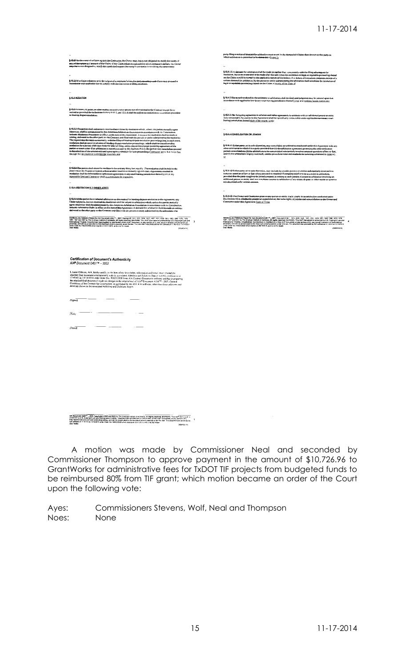| § 15.4.1.1 A demand for arbitration shall be made no cartier than concomently with the filing of a request for<br>mediation, but in no event shall it be mode after the date when the institution of legal or equivable proceedings based<br>ä,<br>on the Claim would be harred by the applicable statute of immunious. For statute of limitations purposes, receipt of a<br>§ 15.2.8 If a Claim relates to or is the subject of a mechanic's lien, the party asserting such Claim may proceed in<br>written demand for arbitration by the person or entity administering the arbitration shall constitute the institution of<br>legal or equitable proceedings based on the Claim a county of the State of<br>dance with applicable law to comply with the lien notice or filing deadlines.<br>i.<br>§ 15.4.2 The award rendered by the arbitrator or arbitrators shall be final, and judgment may be entered upon it in<br>545.3 MEDIATION<br>accordance with applicable low in any court having jurisdiction thereof. Icxas and nothing herein waives any<br>§ 15.3.1 Claims, disputes, or other matters in ourdowersy anxing out of or related to the Contract except these<br>waived as provided for in Sections 9.10.4, 9.10 S, and 15.1 6 shall be subject to mediation as a condition precedent<br>§ 15.4.3 The foregoing agreement to arbitrate and rules agreements to arbitrate with an arbitrican't person or entity<br>to hinding dispute reselution.<br>only consented to by parties to the Agreement shall be specifically rafaccable under opplicable law in any court<br>having-jurisdiction thereof-right of the county under<br>§ 15.1.2. The parties shall endeavor-to resolve their Claims by mediation which, unless the parties minually agree<br>etherwise, shall be edministored by the American Arbitration Association in accordance with its Construction<br>§45.4.4 CONSOLIDATION OR JOINDER<br>industry Modernion Procedures in effect on the data of the Agreement. A request for mediation shall be mode in<br>writing, dolivered to the other party to the Contract, and filed with the person or entity administering the mediation<br>The request may be made concurrently with the filling of hinding dispute resolution anotoedings but, in such event,<br>mediation shall proceed in advance of binding divpute resolution proceedings, which shall be stoved pending<br>§ 15.4.4.1 Either party, at its sole discretion, may convolidate an arbitration conducted under this Agreement with any<br>modiation for a period of 60 days from the date of filing, unless stayed for a langer period by agreement of the<br>other arhitration to which it is a party provided that (1) the arbitration agreement governing the other<br>parties or court order. If an arbitration is stayed pursuant to this Section 15.3.2, the parties may appeal them proceed<br>permits consolidation. (3) the arbitrations to be consolidated cubstantially involve common questions of law or fact,<br>to the selection of the arbitrator(s) and agree upon a schedule for later proceedings Contractor agree that ewipt has<br>and (3) the arbitrations employ materially similar procedural rules and matheds for selecting arbitrator(s)-stationy<br>the right for an inspector to review the materials and<br>ur.<br>§1622 The parties shall shore the mediator's focund any filing foot equally. The mediation shall be held in the<br>place where the Project is located, unloss unother focation is mutually agreed upon. Agreements reached in<br>§ 15.4.4.2 Either party, at its sole diserction, muy include by jointer persons or entities substantially invatuad in a<br>catturian question of law or fast where presence is required if complete ratef is to be accorded in arbitration;<br>modiation shall be enforceable as softloment agreements in any court having jurisdiction thereof york at any<br>provided that the party sought to be joined contents in writing to such joinder. Consent to inditration involving an<br>reasonable time and Contractor shall accommodate the inspection.<br>edditional person or entity shall are constitute consent to arbitration of any olaim. dispute or other matter in question<br>not-described in the written consent.<br>§ 164 ARBITRATION 15 2 OWNER ADDED<br>§ 15.4.4.3 The Owner and Contractor grant to any person or entity made a party to an orbitration conducted under<br>§ 16.4.1 If the parties have solooted arbitration as the mode of for orders dispute resolution in the Agreement, any<br>this Section 15.4, whother by jointer or consolidation, the same rights of joinder and consolidation as the Owner and<br>Contractor under this Agreement State of Texas<br>Chin subject to, but not resolved by, mediation shall be subject to arbitration which, unless the parties mutually<br>agree otherwise, shall he administered by the American Arbitration Association in accordance with its Construction<br>Industry Arbitration Rules in effect on the data of the Agreement. A demand for arbitration shall be made in vesting:<br>delivered to the other party to the Contrast, and filed with the person or entity administering the arbitration. The<br>Address and Depted Reporter Manuscript April - 2017 Concept Cost, 1914, 1917, 1920, 1945, 1931, 1942, 1946, 1952<br>1987, 1987 and 2007 by The Anatolin Return of Antibody, 20 Paper memorial and Reporters in profession (2.2 Co<br>Métions and Detelons Report for AA Document JJUIT = JSMT, Copyrol 0 for 1 st 15, st 8, 1527-197, 1954, 1965, 1965, 1995, 1995, 1995, 1997, 1997, 1997, 1997, 1997, 1997, 1997, 1997, 1997, 1997, 1997, 1997, 1997, 1997, 1997,<br>$\overline{\mathbf{3}}$<br>Notes:<br>(28MM) ATA<br><b>CROADA1A)</b><br>Certification of Document's Authenticity<br>AIA* Document D401™ - 2003<br>L Justin Gilmore, AIA, hereby certify, to the best of my knowledge, information and heliof, that I created the<br>attached final document simultaneously with its associated Additions and Deletions Report and this certification at<br>17:40:43 on 11/14/2014 under Order No. 7050353958 from ATA Contract Discursents software and that in preparing<br>the attacked final document I made no changes to the original text of AIA* Document A2017M - 2007. General<br>Conditions of the Contract for Construction, as published by the A1A in its software, other than those additions and<br>deletions shown in the associated Additions and Deletions Report.<br>(Signed)<br>$T$ ules<br>(Datech) | §15.27 in the event of a Glaim against the Contructor, the Owner may, but is not obligated to, notify the streey, if<br>any, of the nature and amount of the Cluim. If the Claim relates to a possibility of a Contrastor's default, the Owner<br>may, but is not obligated in, notify the curety and request the surety's assistance in resolving the controvercy. | party filing a notice of domand for arbitration must ossert in the domand all Claims then known to thet party on<br>which arbitration is permitted to be demanded. Owner is |
|-------------------------------------------------------------------------------------------------------------------------------------------------------------------------------------------------------------------------------------------------------------------------------------------------------------------------------------------------------------------------------------------------------------------------------------------------------------------------------------------------------------------------------------------------------------------------------------------------------------------------------------------------------------------------------------------------------------------------------------------------------------------------------------------------------------------------------------------------------------------------------------------------------------------------------------------------------------------------------------------------------------------------------------------------------------------------------------------------------------------------------------------------------------------------------------------------------------------------------------------------------------------------------------------------------------------------------------------------------------------------------------------------------------------------------------------------------------------------------------------------------------------------------------------------------------------------------------------------------------------------------------------------------------------------------------------------------------------------------------------------------------------------------------------------------------------------------------------------------------------------------------------------------------------------------------------------------------------------------------------------------------------------------------------------------------------------------------------------------------------------------------------------------------------------------------------------------------------------------------------------------------------------------------------------------------------------------------------------------------------------------------------------------------------------------------------------------------------------------------------------------------------------------------------------------------------------------------------------------------------------------------------------------------------------------------------------------------------------------------------------------------------------------------------------------------------------------------------------------------------------------------------------------------------------------------------------------------------------------------------------------------------------------------------------------------------------------------------------------------------------------------------------------------------------------------------------------------------------------------------------------------------------------------------------------------------------------------------------------------------------------------------------------------------------------------------------------------------------------------------------------------------------------------------------------------------------------------------------------------------------------------------------------------------------------------------------------------------------------------------------------------------------------------------------------------------------------------------------------------------------------------------------------------------------------------------------------------------------------------------------------------------------------------------------------------------------------------------------------------------------------------------------------------------------------------------------------------------------------------------------------------------------------------------------------------------------------------------------------------------------------------------------------------------------------------------------------------------------------------------------------------------------------------------------------------------------------------------------------------------------------------------------------------------------------------------------------------------------------------------------------------------------------------------------------------------------------------------------------------------------------------------------------------------------------------------------------------------------------------------------------------------------------------------------------------------------------------------------------------------------------------------------------------------------------------------------------------------------------------------------------------------------------------------------------------------------------------------------------------------------------------------------------------------------------------------------------------------------------------------------------------------------------------------------------------------------------------------------------------------------------------------------------------------------------------------------------------------------------------------------------------------------------------------------------------------------------------------------------------------------------------------------------------------------------------------------------------------------------------------------------------------------------------------------------------------------------------------------------------------------------------------------------------------------------------------------------------------------------------------------------------------------------------------------------------------------------------------------------------------------------------------------------------------------------------------------------------------------------------------------------------------------------------------------------------------------------------------------------------|---------------------------------------------------------------------------------------------------------------------------------------------------------------------------------------------------------------------------------------------------------------------------------------------------------------------------------------------------------------------|-----------------------------------------------------------------------------------------------------------------------------------------------------------------------------|
|                                                                                                                                                                                                                                                                                                                                                                                                                                                                                                                                                                                                                                                                                                                                                                                                                                                                                                                                                                                                                                                                                                                                                                                                                                                                                                                                                                                                                                                                                                                                                                                                                                                                                                                                                                                                                                                                                                                                                                                                                                                                                                                                                                                                                                                                                                                                                                                                                                                                                                                                                                                                                                                                                                                                                                                                                                                                                                                                                                                                                                                                                                                                                                                                                                                                                                                                                                                                                                                                                                                                                                                                                                                                                                                                                                                                                                                                                                                                                                                                                                                                                                                                                                                                                                                                                                                                                                                                                                                                                                                                                                                                                                                                                                                                                                                                                                                                                                                                                                                                                                                                                                                                                                                                                                                                                                                                                                                                                                                                                                                                                                                                                                                                                                                                                                                                                                                                                                                                                                                                                                                                                                                                                                                                                                                                                                                                                                                                                                                                                                                                                                                                             |                                                                                                                                                                                                                                                                                                                                                                     |                                                                                                                                                                             |
|                                                                                                                                                                                                                                                                                                                                                                                                                                                                                                                                                                                                                                                                                                                                                                                                                                                                                                                                                                                                                                                                                                                                                                                                                                                                                                                                                                                                                                                                                                                                                                                                                                                                                                                                                                                                                                                                                                                                                                                                                                                                                                                                                                                                                                                                                                                                                                                                                                                                                                                                                                                                                                                                                                                                                                                                                                                                                                                                                                                                                                                                                                                                                                                                                                                                                                                                                                                                                                                                                                                                                                                                                                                                                                                                                                                                                                                                                                                                                                                                                                                                                                                                                                                                                                                                                                                                                                                                                                                                                                                                                                                                                                                                                                                                                                                                                                                                                                                                                                                                                                                                                                                                                                                                                                                                                                                                                                                                                                                                                                                                                                                                                                                                                                                                                                                                                                                                                                                                                                                                                                                                                                                                                                                                                                                                                                                                                                                                                                                                                                                                                                                                             |                                                                                                                                                                                                                                                                                                                                                                     |                                                                                                                                                                             |
|                                                                                                                                                                                                                                                                                                                                                                                                                                                                                                                                                                                                                                                                                                                                                                                                                                                                                                                                                                                                                                                                                                                                                                                                                                                                                                                                                                                                                                                                                                                                                                                                                                                                                                                                                                                                                                                                                                                                                                                                                                                                                                                                                                                                                                                                                                                                                                                                                                                                                                                                                                                                                                                                                                                                                                                                                                                                                                                                                                                                                                                                                                                                                                                                                                                                                                                                                                                                                                                                                                                                                                                                                                                                                                                                                                                                                                                                                                                                                                                                                                                                                                                                                                                                                                                                                                                                                                                                                                                                                                                                                                                                                                                                                                                                                                                                                                                                                                                                                                                                                                                                                                                                                                                                                                                                                                                                                                                                                                                                                                                                                                                                                                                                                                                                                                                                                                                                                                                                                                                                                                                                                                                                                                                                                                                                                                                                                                                                                                                                                                                                                                                                             |                                                                                                                                                                                                                                                                                                                                                                     |                                                                                                                                                                             |
|                                                                                                                                                                                                                                                                                                                                                                                                                                                                                                                                                                                                                                                                                                                                                                                                                                                                                                                                                                                                                                                                                                                                                                                                                                                                                                                                                                                                                                                                                                                                                                                                                                                                                                                                                                                                                                                                                                                                                                                                                                                                                                                                                                                                                                                                                                                                                                                                                                                                                                                                                                                                                                                                                                                                                                                                                                                                                                                                                                                                                                                                                                                                                                                                                                                                                                                                                                                                                                                                                                                                                                                                                                                                                                                                                                                                                                                                                                                                                                                                                                                                                                                                                                                                                                                                                                                                                                                                                                                                                                                                                                                                                                                                                                                                                                                                                                                                                                                                                                                                                                                                                                                                                                                                                                                                                                                                                                                                                                                                                                                                                                                                                                                                                                                                                                                                                                                                                                                                                                                                                                                                                                                                                                                                                                                                                                                                                                                                                                                                                                                                                                                                             |                                                                                                                                                                                                                                                                                                                                                                     |                                                                                                                                                                             |
|                                                                                                                                                                                                                                                                                                                                                                                                                                                                                                                                                                                                                                                                                                                                                                                                                                                                                                                                                                                                                                                                                                                                                                                                                                                                                                                                                                                                                                                                                                                                                                                                                                                                                                                                                                                                                                                                                                                                                                                                                                                                                                                                                                                                                                                                                                                                                                                                                                                                                                                                                                                                                                                                                                                                                                                                                                                                                                                                                                                                                                                                                                                                                                                                                                                                                                                                                                                                                                                                                                                                                                                                                                                                                                                                                                                                                                                                                                                                                                                                                                                                                                                                                                                                                                                                                                                                                                                                                                                                                                                                                                                                                                                                                                                                                                                                                                                                                                                                                                                                                                                                                                                                                                                                                                                                                                                                                                                                                                                                                                                                                                                                                                                                                                                                                                                                                                                                                                                                                                                                                                                                                                                                                                                                                                                                                                                                                                                                                                                                                                                                                                                                             |                                                                                                                                                                                                                                                                                                                                                                     |                                                                                                                                                                             |
|                                                                                                                                                                                                                                                                                                                                                                                                                                                                                                                                                                                                                                                                                                                                                                                                                                                                                                                                                                                                                                                                                                                                                                                                                                                                                                                                                                                                                                                                                                                                                                                                                                                                                                                                                                                                                                                                                                                                                                                                                                                                                                                                                                                                                                                                                                                                                                                                                                                                                                                                                                                                                                                                                                                                                                                                                                                                                                                                                                                                                                                                                                                                                                                                                                                                                                                                                                                                                                                                                                                                                                                                                                                                                                                                                                                                                                                                                                                                                                                                                                                                                                                                                                                                                                                                                                                                                                                                                                                                                                                                                                                                                                                                                                                                                                                                                                                                                                                                                                                                                                                                                                                                                                                                                                                                                                                                                                                                                                                                                                                                                                                                                                                                                                                                                                                                                                                                                                                                                                                                                                                                                                                                                                                                                                                                                                                                                                                                                                                                                                                                                                                                             |                                                                                                                                                                                                                                                                                                                                                                     |                                                                                                                                                                             |
|                                                                                                                                                                                                                                                                                                                                                                                                                                                                                                                                                                                                                                                                                                                                                                                                                                                                                                                                                                                                                                                                                                                                                                                                                                                                                                                                                                                                                                                                                                                                                                                                                                                                                                                                                                                                                                                                                                                                                                                                                                                                                                                                                                                                                                                                                                                                                                                                                                                                                                                                                                                                                                                                                                                                                                                                                                                                                                                                                                                                                                                                                                                                                                                                                                                                                                                                                                                                                                                                                                                                                                                                                                                                                                                                                                                                                                                                                                                                                                                                                                                                                                                                                                                                                                                                                                                                                                                                                                                                                                                                                                                                                                                                                                                                                                                                                                                                                                                                                                                                                                                                                                                                                                                                                                                                                                                                                                                                                                                                                                                                                                                                                                                                                                                                                                                                                                                                                                                                                                                                                                                                                                                                                                                                                                                                                                                                                                                                                                                                                                                                                                                                             |                                                                                                                                                                                                                                                                                                                                                                     |                                                                                                                                                                             |
|                                                                                                                                                                                                                                                                                                                                                                                                                                                                                                                                                                                                                                                                                                                                                                                                                                                                                                                                                                                                                                                                                                                                                                                                                                                                                                                                                                                                                                                                                                                                                                                                                                                                                                                                                                                                                                                                                                                                                                                                                                                                                                                                                                                                                                                                                                                                                                                                                                                                                                                                                                                                                                                                                                                                                                                                                                                                                                                                                                                                                                                                                                                                                                                                                                                                                                                                                                                                                                                                                                                                                                                                                                                                                                                                                                                                                                                                                                                                                                                                                                                                                                                                                                                                                                                                                                                                                                                                                                                                                                                                                                                                                                                                                                                                                                                                                                                                                                                                                                                                                                                                                                                                                                                                                                                                                                                                                                                                                                                                                                                                                                                                                                                                                                                                                                                                                                                                                                                                                                                                                                                                                                                                                                                                                                                                                                                                                                                                                                                                                                                                                                                                             |                                                                                                                                                                                                                                                                                                                                                                     |                                                                                                                                                                             |
|                                                                                                                                                                                                                                                                                                                                                                                                                                                                                                                                                                                                                                                                                                                                                                                                                                                                                                                                                                                                                                                                                                                                                                                                                                                                                                                                                                                                                                                                                                                                                                                                                                                                                                                                                                                                                                                                                                                                                                                                                                                                                                                                                                                                                                                                                                                                                                                                                                                                                                                                                                                                                                                                                                                                                                                                                                                                                                                                                                                                                                                                                                                                                                                                                                                                                                                                                                                                                                                                                                                                                                                                                                                                                                                                                                                                                                                                                                                                                                                                                                                                                                                                                                                                                                                                                                                                                                                                                                                                                                                                                                                                                                                                                                                                                                                                                                                                                                                                                                                                                                                                                                                                                                                                                                                                                                                                                                                                                                                                                                                                                                                                                                                                                                                                                                                                                                                                                                                                                                                                                                                                                                                                                                                                                                                                                                                                                                                                                                                                                                                                                                                                             |                                                                                                                                                                                                                                                                                                                                                                     |                                                                                                                                                                             |
|                                                                                                                                                                                                                                                                                                                                                                                                                                                                                                                                                                                                                                                                                                                                                                                                                                                                                                                                                                                                                                                                                                                                                                                                                                                                                                                                                                                                                                                                                                                                                                                                                                                                                                                                                                                                                                                                                                                                                                                                                                                                                                                                                                                                                                                                                                                                                                                                                                                                                                                                                                                                                                                                                                                                                                                                                                                                                                                                                                                                                                                                                                                                                                                                                                                                                                                                                                                                                                                                                                                                                                                                                                                                                                                                                                                                                                                                                                                                                                                                                                                                                                                                                                                                                                                                                                                                                                                                                                                                                                                                                                                                                                                                                                                                                                                                                                                                                                                                                                                                                                                                                                                                                                                                                                                                                                                                                                                                                                                                                                                                                                                                                                                                                                                                                                                                                                                                                                                                                                                                                                                                                                                                                                                                                                                                                                                                                                                                                                                                                                                                                                                                             |                                                                                                                                                                                                                                                                                                                                                                     |                                                                                                                                                                             |
|                                                                                                                                                                                                                                                                                                                                                                                                                                                                                                                                                                                                                                                                                                                                                                                                                                                                                                                                                                                                                                                                                                                                                                                                                                                                                                                                                                                                                                                                                                                                                                                                                                                                                                                                                                                                                                                                                                                                                                                                                                                                                                                                                                                                                                                                                                                                                                                                                                                                                                                                                                                                                                                                                                                                                                                                                                                                                                                                                                                                                                                                                                                                                                                                                                                                                                                                                                                                                                                                                                                                                                                                                                                                                                                                                                                                                                                                                                                                                                                                                                                                                                                                                                                                                                                                                                                                                                                                                                                                                                                                                                                                                                                                                                                                                                                                                                                                                                                                                                                                                                                                                                                                                                                                                                                                                                                                                                                                                                                                                                                                                                                                                                                                                                                                                                                                                                                                                                                                                                                                                                                                                                                                                                                                                                                                                                                                                                                                                                                                                                                                                                                                             |                                                                                                                                                                                                                                                                                                                                                                     |                                                                                                                                                                             |
|                                                                                                                                                                                                                                                                                                                                                                                                                                                                                                                                                                                                                                                                                                                                                                                                                                                                                                                                                                                                                                                                                                                                                                                                                                                                                                                                                                                                                                                                                                                                                                                                                                                                                                                                                                                                                                                                                                                                                                                                                                                                                                                                                                                                                                                                                                                                                                                                                                                                                                                                                                                                                                                                                                                                                                                                                                                                                                                                                                                                                                                                                                                                                                                                                                                                                                                                                                                                                                                                                                                                                                                                                                                                                                                                                                                                                                                                                                                                                                                                                                                                                                                                                                                                                                                                                                                                                                                                                                                                                                                                                                                                                                                                                                                                                                                                                                                                                                                                                                                                                                                                                                                                                                                                                                                                                                                                                                                                                                                                                                                                                                                                                                                                                                                                                                                                                                                                                                                                                                                                                                                                                                                                                                                                                                                                                                                                                                                                                                                                                                                                                                                                             |                                                                                                                                                                                                                                                                                                                                                                     |                                                                                                                                                                             |
|                                                                                                                                                                                                                                                                                                                                                                                                                                                                                                                                                                                                                                                                                                                                                                                                                                                                                                                                                                                                                                                                                                                                                                                                                                                                                                                                                                                                                                                                                                                                                                                                                                                                                                                                                                                                                                                                                                                                                                                                                                                                                                                                                                                                                                                                                                                                                                                                                                                                                                                                                                                                                                                                                                                                                                                                                                                                                                                                                                                                                                                                                                                                                                                                                                                                                                                                                                                                                                                                                                                                                                                                                                                                                                                                                                                                                                                                                                                                                                                                                                                                                                                                                                                                                                                                                                                                                                                                                                                                                                                                                                                                                                                                                                                                                                                                                                                                                                                                                                                                                                                                                                                                                                                                                                                                                                                                                                                                                                                                                                                                                                                                                                                                                                                                                                                                                                                                                                                                                                                                                                                                                                                                                                                                                                                                                                                                                                                                                                                                                                                                                                                                             |                                                                                                                                                                                                                                                                                                                                                                     |                                                                                                                                                                             |
|                                                                                                                                                                                                                                                                                                                                                                                                                                                                                                                                                                                                                                                                                                                                                                                                                                                                                                                                                                                                                                                                                                                                                                                                                                                                                                                                                                                                                                                                                                                                                                                                                                                                                                                                                                                                                                                                                                                                                                                                                                                                                                                                                                                                                                                                                                                                                                                                                                                                                                                                                                                                                                                                                                                                                                                                                                                                                                                                                                                                                                                                                                                                                                                                                                                                                                                                                                                                                                                                                                                                                                                                                                                                                                                                                                                                                                                                                                                                                                                                                                                                                                                                                                                                                                                                                                                                                                                                                                                                                                                                                                                                                                                                                                                                                                                                                                                                                                                                                                                                                                                                                                                                                                                                                                                                                                                                                                                                                                                                                                                                                                                                                                                                                                                                                                                                                                                                                                                                                                                                                                                                                                                                                                                                                                                                                                                                                                                                                                                                                                                                                                                                             |                                                                                                                                                                                                                                                                                                                                                                     |                                                                                                                                                                             |
|                                                                                                                                                                                                                                                                                                                                                                                                                                                                                                                                                                                                                                                                                                                                                                                                                                                                                                                                                                                                                                                                                                                                                                                                                                                                                                                                                                                                                                                                                                                                                                                                                                                                                                                                                                                                                                                                                                                                                                                                                                                                                                                                                                                                                                                                                                                                                                                                                                                                                                                                                                                                                                                                                                                                                                                                                                                                                                                                                                                                                                                                                                                                                                                                                                                                                                                                                                                                                                                                                                                                                                                                                                                                                                                                                                                                                                                                                                                                                                                                                                                                                                                                                                                                                                                                                                                                                                                                                                                                                                                                                                                                                                                                                                                                                                                                                                                                                                                                                                                                                                                                                                                                                                                                                                                                                                                                                                                                                                                                                                                                                                                                                                                                                                                                                                                                                                                                                                                                                                                                                                                                                                                                                                                                                                                                                                                                                                                                                                                                                                                                                                                                             |                                                                                                                                                                                                                                                                                                                                                                     |                                                                                                                                                                             |

AM December College Press Copyright Crist and State Press Archives in State College, Maryland WASSAG: The AAP Decument 1<br>protected by U.S.Copyright University Constructed Trades Unautonical monotonic Automatic Maryland of

A motion was made by Commissioner Neal and seconded by Commissioner Thompson to approve payment in the amount of \$10,726.96 to GrantWorks for administrative fees for TxDOT TIF projects from budgeted funds to be reimbursed 80% from TIF grant; which motion became an order of the Court upon the following vote:

Ayes: Commissioners Stevens, Wolf, Neal and Thompson Noes: None